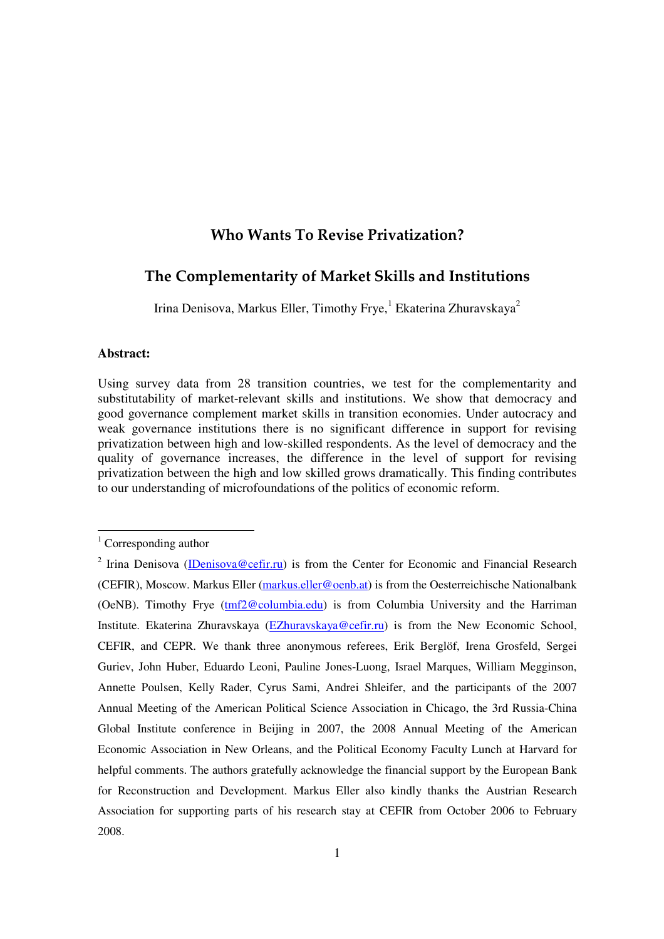# **Who Wants To Revise Privatization?**

# The Complementarity of Market Skills and Institutions

Irina Denisova, Markus Eller, Timothy Frye, <sup>1</sup> Ekaterina Zhuravskaya<sup>2</sup>

## **Abstract:**

Using survey data from 28 transition countries, we test for the complementarity and substitutability of market-relevant skills and institutions. We show that democracy and good governance complement market skills in transition economies. Under autocracy and weak governance institutions there is no significant difference in support for revising privatization between high and low-skilled respondents. As the level of democracy and the quality of governance increases, the difference in the level of support for revising privatization between the high and low skilled grows dramatically. This finding contributes to our understanding of microfoundations of the politics of economic reform.

 $1$  Corresponding author

<sup>&</sup>lt;sup>2</sup> Irina Denisova (*IDenisova@cefir.ru*) is from the Center for Economic and Financial Research (CEFIR), Moscow. Markus Eller (markus.eller@oenb.at) is from the Oesterreichische Nationalbank (OeNB). Timothy Frye (tmf2@columbia.edu) is from Columbia University and the Harriman Institute. Ekaterina Zhuravskaya (EZhuravskaya@cefir.ru) is from the New Economic School, CEFIR, and CEPR. We thank three anonymous referees, Erik Berglöf, Irena Grosfeld, Sergei Guriev, John Huber, Eduardo Leoni, Pauline Jones-Luong, Israel Marques, William Megginson, Annette Poulsen, Kelly Rader, Cyrus Sami, Andrei Shleifer, and the participants of the 2007 Annual Meeting of the American Political Science Association in Chicago, the 3rd Russia-China Global Institute conference in Beijing in 2007, the 2008 Annual Meeting of the American Economic Association in New Orleans, and the Political Economy Faculty Lunch at Harvard for helpful comments. The authors gratefully acknowledge the financial support by the European Bank for Reconstruction and Development. Markus Eller also kindly thanks the Austrian Research Association for supporting parts of his research stay at CEFIR from October 2006 to February 2008.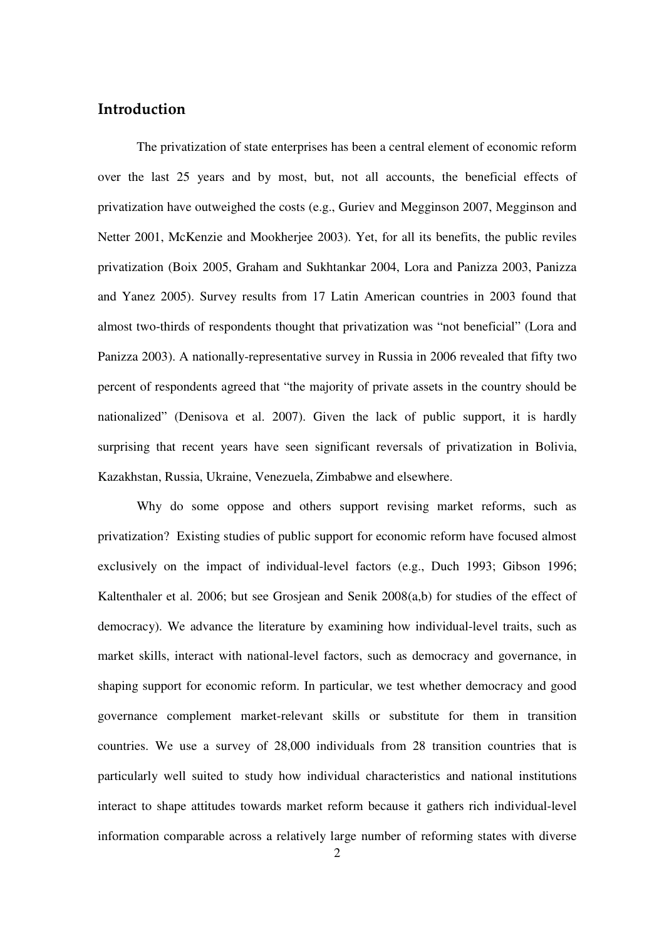# Introduction

The privatization of state enterprises has been a central element of economic reform over the last 25 years and by most, but, not all accounts, the beneficial effects of privatization have outweighed the costs (e.g., Guriev and Megginson 2007, Megginson and Netter 2001, McKenzie and Mookherjee 2003). Yet, for all its benefits, the public reviles privatization (Boix 2005, Graham and Sukhtankar 2004, Lora and Panizza 2003, Panizza and Yanez 2005). Survey results from 17 Latin American countries in 2003 found that almost two-thirds of respondents thought that privatization was "not beneficial" (Lora and Panizza 2003). A nationally-representative survey in Russia in 2006 revealed that fifty two percent of respondents agreed that "the majority of private assets in the country should be nationalized" (Denisova et al. 2007). Given the lack of public support, it is hardly surprising that recent years have seen significant reversals of privatization in Bolivia, Kazakhstan, Russia, Ukraine, Venezuela, Zimbabwe and elsewhere.

Why do some oppose and others support revising market reforms, such as privatization? Existing studies of public support for economic reform have focused almost exclusively on the impact of individual-level factors (e.g., Duch 1993; Gibson 1996; Kaltenthaler et al. 2006; but see Grosjean and Senik 2008(a,b) for studies of the effect of democracy). We advance the literature by examining how individual-level traits, such as market skills, interact with national-level factors, such as democracy and governance, in shaping support for economic reform. In particular, we test whether democracy and good governance complement market-relevant skills or substitute for them in transition countries. We use a survey of 28,000 individuals from 28 transition countries that is particularly well suited to study how individual characteristics and national institutions interact to shape attitudes towards market reform because it gathers rich individual-level information comparable across a relatively large number of reforming states with diverse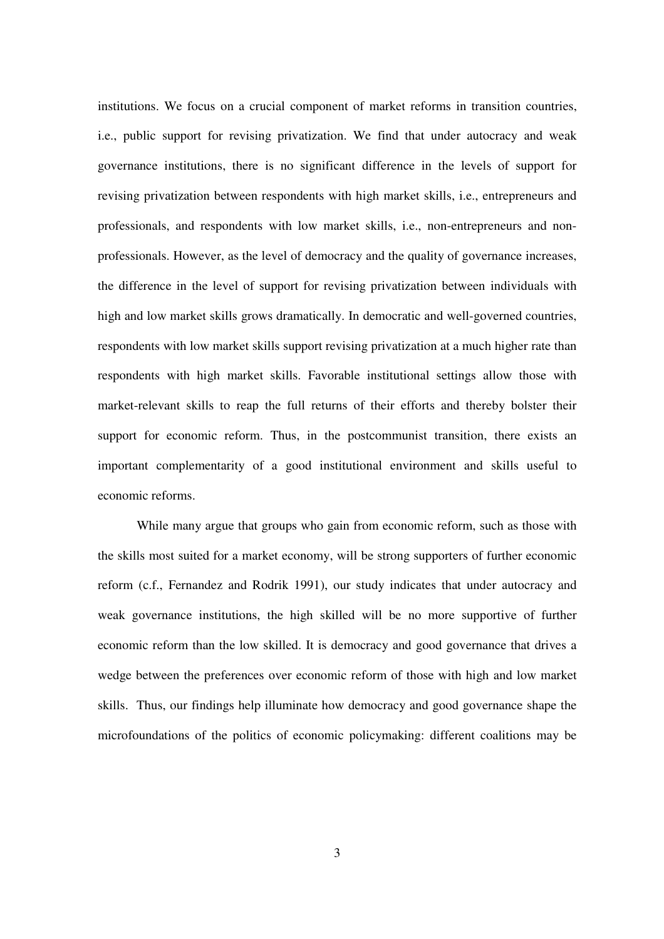institutions. We focus on a crucial component of market reforms in transition countries, i.e., public support for revising privatization. We find that under autocracy and weak governance institutions, there is no significant difference in the levels of support for revising privatization between respondents with high market skills, i.e., entrepreneurs and professionals, and respondents with low market skills, i.e., non-entrepreneurs and nonprofessionals. However, as the level of democracy and the quality of governance increases, the difference in the level of support for revising privatization between individuals with high and low market skills grows dramatically. In democratic and well-governed countries, respondents with low market skills support revising privatization at a much higher rate than respondents with high market skills. Favorable institutional settings allow those with market-relevant skills to reap the full returns of their efforts and thereby bolster their support for economic reform. Thus, in the postcommunist transition, there exists an important complementarity of a good institutional environment and skills useful to economic reforms.

While many argue that groups who gain from economic reform, such as those with the skills most suited for a market economy, will be strong supporters of further economic reform (c.f., Fernandez and Rodrik 1991), our study indicates that under autocracy and weak governance institutions, the high skilled will be no more supportive of further economic reform than the low skilled. It is democracy and good governance that drives a wedge between the preferences over economic reform of those with high and low market skills. Thus, our findings help illuminate how democracy and good governance shape the microfoundations of the politics of economic policymaking: different coalitions may be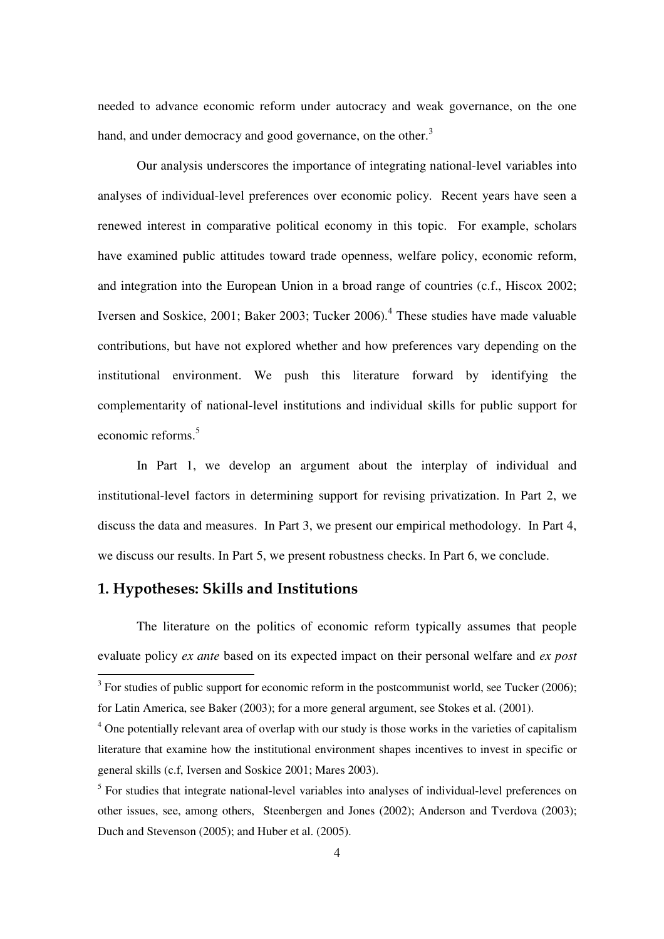needed to advance economic reform under autocracy and weak governance, on the one hand, and under democracy and good governance, on the other.<sup>3</sup>

Our analysis underscores the importance of integrating national-level variables into analyses of individual-level preferences over economic policy. Recent years have seen a renewed interest in comparative political economy in this topic. For example, scholars have examined public attitudes toward trade openness, welfare policy, economic reform, and integration into the European Union in a broad range of countries (c.f., Hiscox 2002; Iversen and Soskice, 2001; Baker 2003; Tucker 2006). 4 These studies have made valuable contributions, but have not explored whether and how preferences vary depending on the institutional environment. We push this literature forward by identifying the complementarity of national-level institutions and individual skills for public support for economic reforms. 5

In Part 1, we develop an argument about the interplay of individual and institutional-level factors in determining support for revising privatization. In Part 2, we discuss the data and measures. In Part 3, we present our empirical methodology. In Part 4, we discuss our results. In Part 5, we present robustness checks. In Part 6, we conclude.

# 1. Hypotheses: Skills and Institutions

The literature on the politics of economic reform typically assumes that people evaluate policy *ex ante* based on its expected impact on their personal welfare and *ex post*

 $3$  For studies of public support for economic reform in the postcommunist world, see Tucker (2006); for Latin America, see Baker (2003); for a more general argument, see Stokes et al. (2001).

<sup>&</sup>lt;sup>4</sup> One potentially relevant area of overlap with our study is those works in the varieties of capitalism literature that examine how the institutional environment shapes incentives to invest in specific or general skills (c.f, Iversen and Soskice 2001; Mares 2003).

<sup>&</sup>lt;sup>5</sup> For studies that integrate national-level variables into analyses of individual-level preferences on other issues, see, among others, Steenbergen and Jones (2002); Anderson and Tverdova (2003); Duch and Stevenson (2005); and Huber et al. (2005).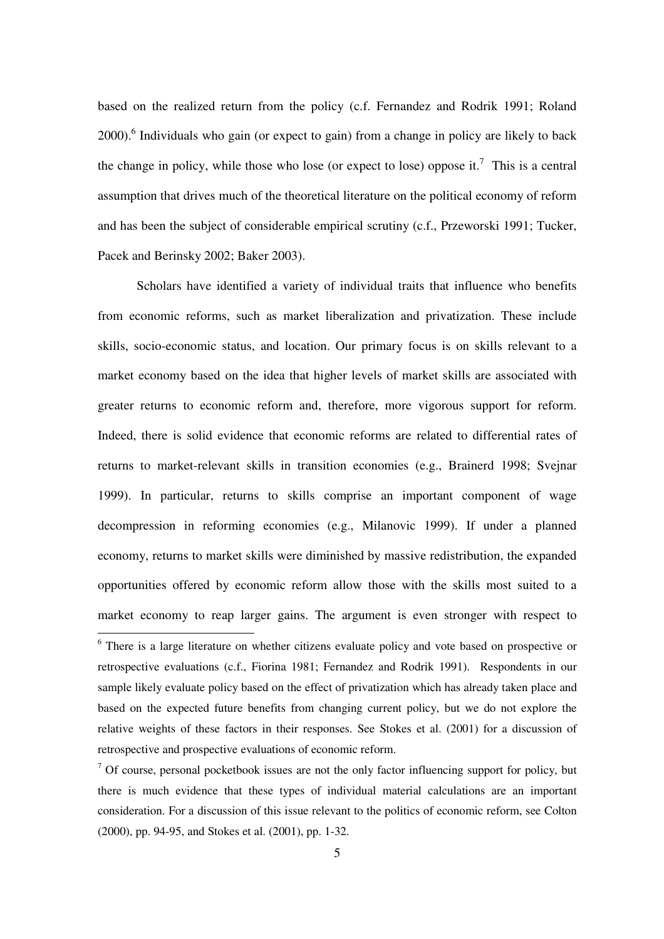based on the realized return from the policy (c.f. Fernandez and Rodrik 1991; Roland 2000).<sup>6</sup> Individuals who gain (or expect to gain) from a change in policy are likely to back the change in policy, while those who lose (or expect to lose) oppose it.<sup>7</sup> This is a central assumption that drives much of the theoretical literature on the political economy of reform and has been the subject of considerable empirical scrutiny (c.f., Przeworski 1991; Tucker, Pacek and Berinsky 2002; Baker 2003).

Scholars have identified a variety of individual traits that influence who benefits from economic reforms, such as market liberalization and privatization. These include skills, socio-economic status, and location. Our primary focus is on skills relevant to a market economy based on the idea that higher levels of market skills are associated with greater returns to economic reform and, therefore, more vigorous support for reform. Indeed, there is solid evidence that economic reforms are related to differential rates of returns to market-relevant skills in transition economies (e.g., Brainerd 1998; Svejnar 1999). In particular, returns to skills comprise an important component of wage decompression in reforming economies (e.g., Milanovic 1999). If under a planned economy, returns to market skills were diminished by massive redistribution, the expanded opportunities offered by economic reform allow those with the skills most suited to a market economy to reap larger gains. The argument is even stronger with respect to

<sup>&</sup>lt;sup>6</sup> There is a large literature on whether citizens evaluate policy and vote based on prospective or retrospective evaluations (c.f., Fiorina 1981; Fernandez and Rodrik 1991). Respondents in our sample likely evaluate policy based on the effect of privatization which has already taken place and based on the expected future benefits from changing current policy, but we do not explore the relative weights of these factors in their responses. See Stokes et al. (2001) for a discussion of retrospective and prospective evaluations of economic reform.

 $<sup>7</sup>$  Of course, personal pocketbook issues are not the only factor influencing support for policy, but</sup> there is much evidence that these types of individual material calculations are an important consideration. For a discussion of this issue relevant to the politics of economic reform, see Colton (2000), pp. 94-95, and Stokes et al. (2001), pp. 1-32.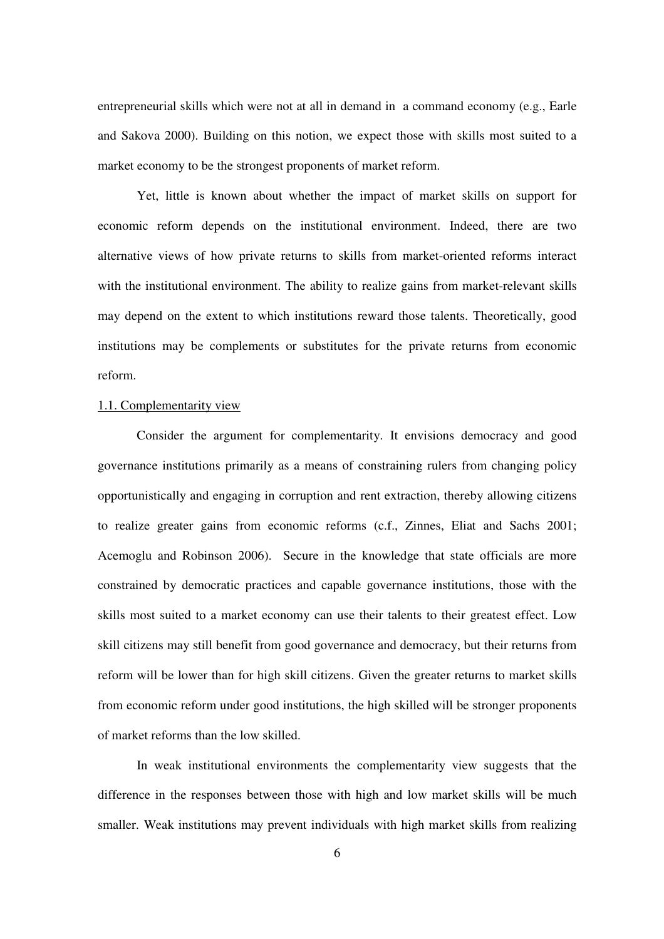entrepreneurial skills which were not at all in demand in a command economy (e.g., Earle and Sakova 2000). Building on this notion, we expect those with skills most suited to a market economy to be the strongest proponents of market reform.

Yet, little is known about whether the impact of market skills on support for economic reform depends on the institutional environment. Indeed, there are two alternative views of how private returns to skills from market-oriented reforms interact with the institutional environment. The ability to realize gains from market-relevant skills may depend on the extent to which institutions reward those talents. Theoretically, good institutions may be complements or substitutes for the private returns from economic reform.

#### 1.1. Complementarity view

Consider the argument for complementarity. It envisions democracy and good governance institutions primarily as a means of constraining rulers from changing policy opportunistically and engaging in corruption and rent extraction, thereby allowing citizens to realize greater gains from economic reforms (c.f., Zinnes, Eliat and Sachs 2001; Acemoglu and Robinson 2006). Secure in the knowledge that state officials are more constrained by democratic practices and capable governance institutions, those with the skills most suited to a market economy can use their talents to their greatest effect. Low skill citizens may still benefit from good governance and democracy, but their returns from reform will be lower than for high skill citizens. Given the greater returns to market skills from economic reform under good institutions, the high skilled will be stronger proponents of market reforms than the low skilled.

In weak institutional environments the complementarity view suggests that the difference in the responses between those with high and low market skills will be much smaller. Weak institutions may prevent individuals with high market skills from realizing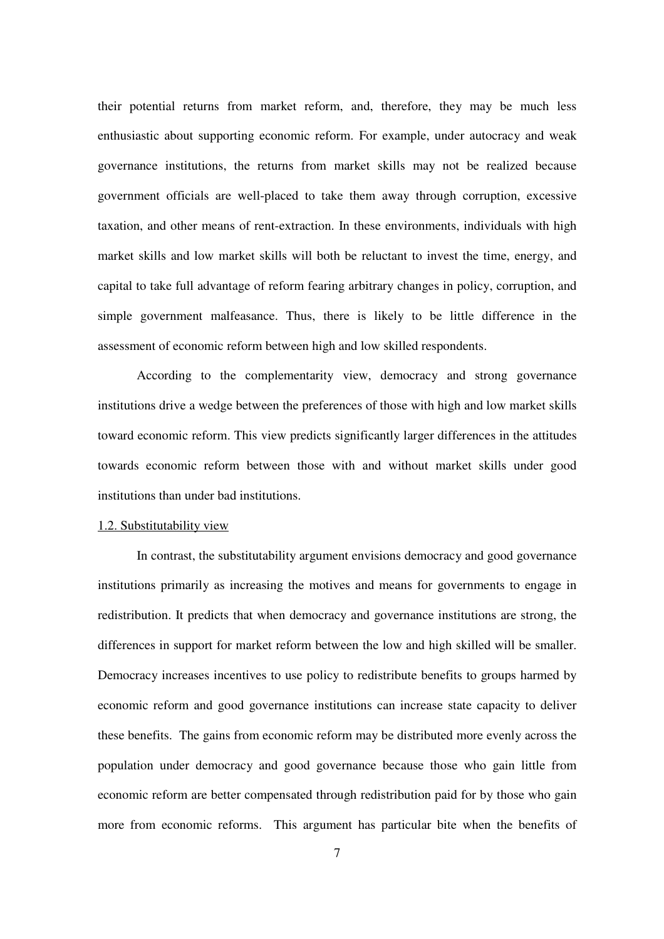their potential returns from market reform, and, therefore, they may be much less enthusiastic about supporting economic reform. For example, under autocracy and weak governance institutions, the returns from market skills may not be realized because government officials are well-placed to take them away through corruption, excessive taxation, and other means of rent-extraction. In these environments, individuals with high market skills and low market skills will both be reluctant to invest the time, energy, and capital to take full advantage of reform fearing arbitrary changes in policy, corruption, and simple government malfeasance. Thus, there is likely to be little difference in the assessment of economic reform between high and low skilled respondents.

According to the complementarity view, democracy and strong governance institutions drive a wedge between the preferences of those with high and low market skills toward economic reform. This view predicts significantly larger differences in the attitudes towards economic reform between those with and without market skills under good institutions than under bad institutions.

#### 1.2. Substitutability view

In contrast, the substitutability argument envisions democracy and good governance institutions primarily as increasing the motives and means for governments to engage in redistribution. It predicts that when democracy and governance institutions are strong, the differences in support for market reform between the low and high skilled will be smaller. Democracy increases incentives to use policy to redistribute benefits to groups harmed by economic reform and good governance institutions can increase state capacity to deliver these benefits. The gains from economic reform may be distributed more evenly across the population under democracy and good governance because those who gain little from economic reform are better compensated through redistribution paid for by those who gain more from economic reforms. This argument has particular bite when the benefits of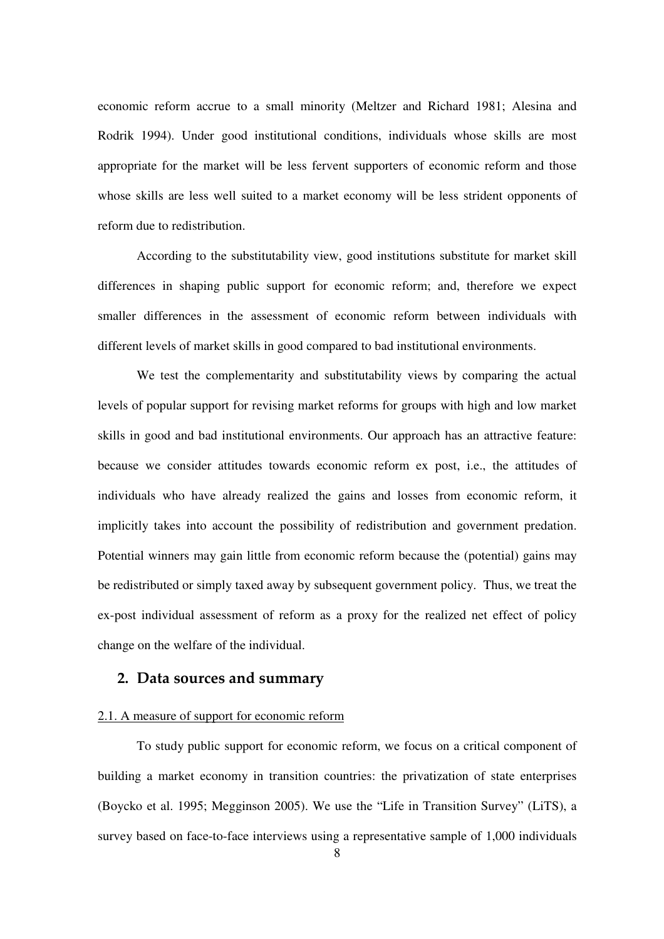economic reform accrue to a small minority (Meltzer and Richard 1981; Alesina and Rodrik 1994). Under good institutional conditions, individuals whose skills are most appropriate for the market will be less fervent supporters of economic reform and those whose skills are less well suited to a market economy will be less strident opponents of reform due to redistribution.

According to the substitutability view, good institutions substitute for market skill differences in shaping public support for economic reform; and, therefore we expect smaller differences in the assessment of economic reform between individuals with different levels of market skills in good compared to bad institutional environments.

We test the complementarity and substitutability views by comparing the actual levels of popular support for revising market reforms for groups with high and low market skills in good and bad institutional environments. Our approach has an attractive feature: because we consider attitudes towards economic reform ex post, i.e., the attitudes of individuals who have already realized the gains and losses from economic reform, it implicitly takes into account the possibility of redistribution and government predation. Potential winners may gain little from economic reform because the (potential) gains may be redistributed or simply taxed away by subsequent government policy. Thus, we treat the ex-post individual assessment of reform as a proxy for the realized net effect of policy change on the welfare of the individual.

# 2. Data sources and summarv

## 2.1. A measure of support for economic reform

To study public support for economic reform, we focus on a critical component of building a market economy in transition countries: the privatization of state enterprises (Boycko et al. 1995; Megginson 2005). We use the " Life in Transition Survey" (LiTS), a survey based on face-to-face interviews using a representative sample of 1,000 individuals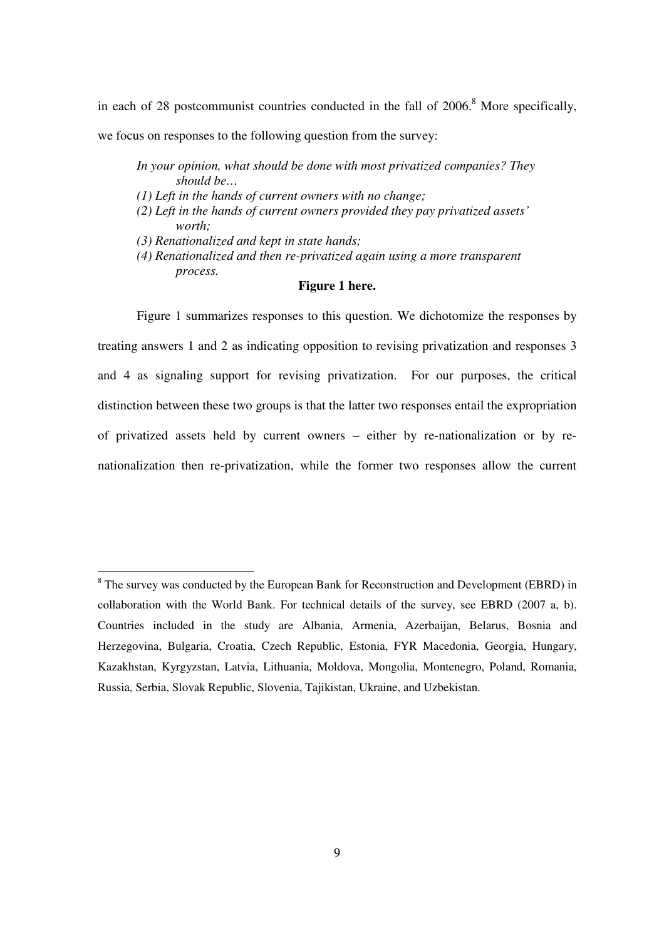in each of 28 postcommunist countries conducted in the fall of 2006.<sup>8</sup> More specifically, we focus on responses to the following question from the survey:

- *In your opinion, what should be done with most privatized companies? They should be…*
- *(1) Left in the hands of current owners with no change;*
- *(2) Left in the hands of current owners provided they pay privatized assets' worth;*
- *(3) Renationalized and kept in state hands;*
- *(4) Renationalized and then re-privatized again using a more transparent process.*

### **Figure 1 here.**

Figure 1 summarizes responses to this question. We dichotomize the responses by treating answers 1 and 2 as indicating opposition to revising privatization and responses 3 and 4 as signaling support for revising privatization. For our purposes, the critical distinction between these two groups is that the latter two responses entail the expropriation of privatized assets held by current owners – either by re-nationalization or by renationalization then re-privatization, while the former two responses allow the current

<sup>&</sup>lt;sup>8</sup> The survey was conducted by the European Bank for Reconstruction and Development (EBRD) in collaboration with the World Bank. For technical details of the survey, see EBRD (2007 a, b). Countries included in the study are Albania, Armenia, Azerbaijan, Belarus, Bosnia and Herzegovina, Bulgaria, Croatia, Czech Republic, Estonia, FYR Macedonia, Georgia, Hungary, Kazakhstan, Kyrgyzstan, Latvia, Lithuania, Moldova, Mongolia, Montenegro, Poland, Romania, Russia, Serbia, Slovak Republic, Slovenia, Tajikistan, Ukraine, and Uzbekistan.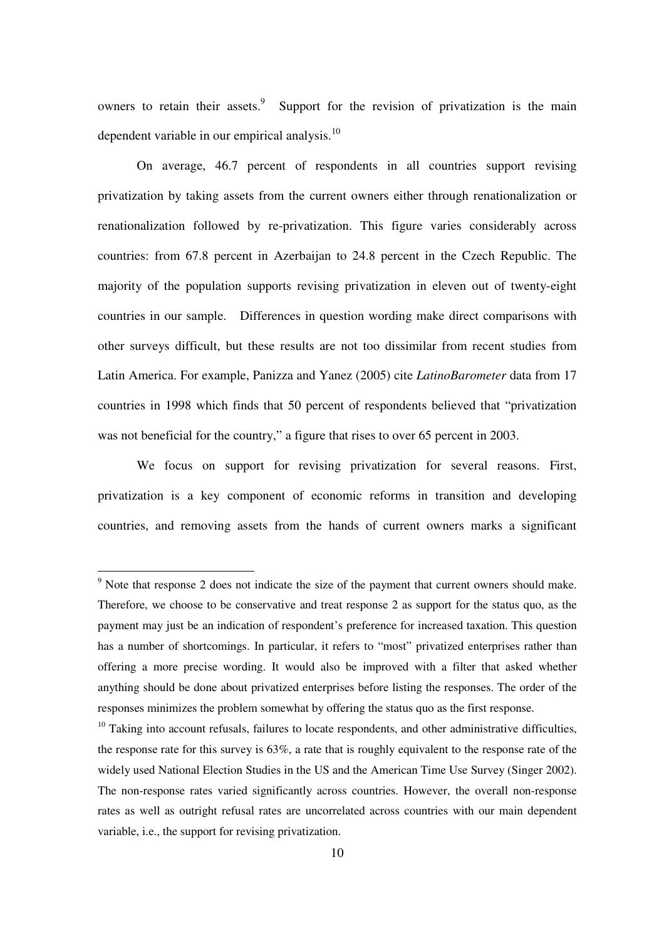owners to retain their assets.<sup>9</sup> Support for the revision of privatization is the main dependent variable in our empirical analysis.<sup>10</sup>

On average, 46.7 percent of respondents in all countries support revising privatization by taking assets from the current owners either through renationalization or renationalization followed by re-privatization. This figure varies considerably across countries: from 67.8 percent in Azerbaijan to 24.8 percent in the Czech Republic. The majority of the population supports revising privatization in eleven out of twenty-eight countries in our sample. Differences in question wording make direct comparisons with other surveys difficult, but these results are not too dissimilar from recent studies from Latin America. For example, Panizza and Yanez (2005) cite *LatinoBarometer* data from 17 countries in 1998 which finds that 50 percent of respondents believed that "privatization" was not beneficial for the country," a figure that rises to over 65 percent in 2003.

We focus on support for revising privatization for several reasons. First, privatization is a key component of economic reforms in transition and developing countries, and removing assets from the hands of current owners marks a significant

<sup>&</sup>lt;sup>9</sup> Note that response 2 does not indicate the size of the payment that current owners should make. Therefore, we choose to be conservative and treat response 2 as support for the status quo, as the payment may just be an indication of respondent's preference for increased taxation. This question has a number of shortcomings. In particular, it refers to "most" privatized enterprises rather than offering a more precise wording. It would also be improved with a filter that asked whether anything should be done about privatized enterprises before listing the responses. The order of the responses minimizes the problem somewhat by offering the status quo as the first response.

 $10$  Taking into account refusals, failures to locate respondents, and other administrative difficulties, the response rate for this survey is 63%, a rate that is roughly equivalent to the response rate of the widely used National Election Studies in the US and the American Time Use Survey (Singer 2002). The non-response rates varied significantly across countries. However, the overall non-response rates as well as outright refusal rates are uncorrelated across countries with our main dependent variable, i.e., the support for revising privatization.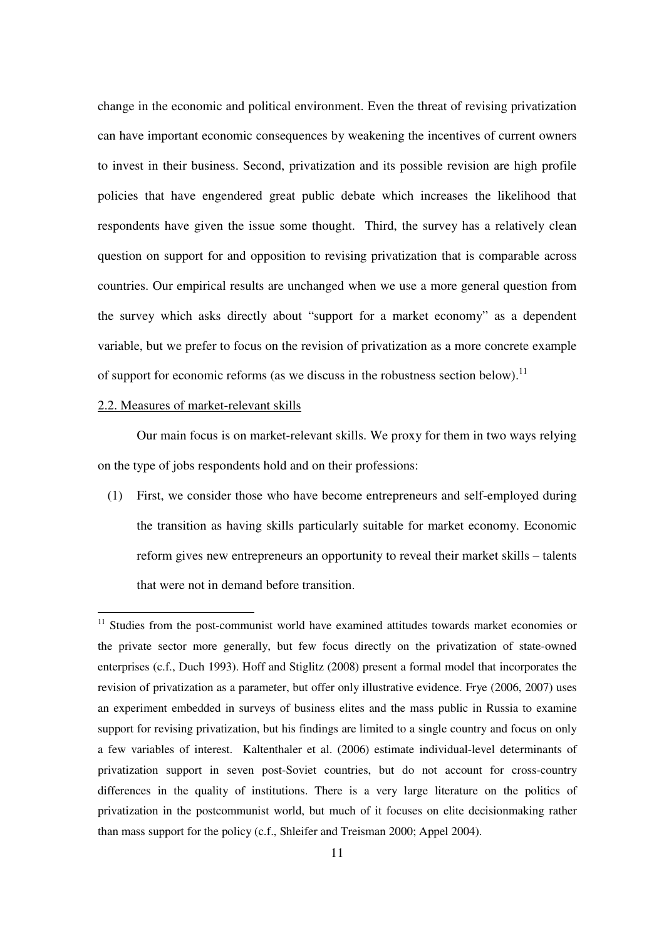change in the economic and political environment. Even the threat of revising privatization can have important economic consequences by weakening the incentives of current owners to invest in their business. Second, privatization and its possible revision are high profile policies that have engendered great public debate which increases the likelihood that respondents have given the issue some thought. Third, the survey has a relatively clean question on support for and opposition to revising privatization that is comparable across countries. Our empirical results are unchanged when we use a more general question from the survey which asks directly about "support for a market economy" as a dependent variable, but we prefer to focus on the revision of privatization as a more concrete example of support for economic reforms (as we discuss in the robustness section below).<sup>11</sup>

## 2.2. Measures of market-relevant skills

Our main focus is on market-relevant skills. We proxy for them in two ways relying on the type of jobs respondents hold and on their professions:

(1) First, we consider those who have become entrepreneurs and self-employed during the transition as having skills particularly suitable for market economy. Economic reform gives new entrepreneurs an opportunity to reveal their market skills – talents that were not in demand before transition.

<sup>&</sup>lt;sup>11</sup> Studies from the post-communist world have examined attitudes towards market economies or the private sector more generally, but few focus directly on the privatization of state-owned enterprises (c.f., Duch 1993). Hoff and Stiglitz (2008) present a formal model that incorporates the revision of privatization as a parameter, but offer only illustrative evidence. Frye (2006, 2007) uses an experiment embedded in surveys of business elites and the mass public in Russia to examine support for revising privatization, but his findings are limited to a single country and focus on only a few variables of interest. Kaltenthaler et al. (2006) estimate individual-level determinants of privatization support in seven post-Soviet countries, but do not account for cross-country differences in the quality of institutions. There is a very large literature on the politics of privatization in the postcommunist world, but much of it focuses on elite decisionmaking rather than mass support for the policy (c.f., Shleifer and Treisman 2000; Appel 2004).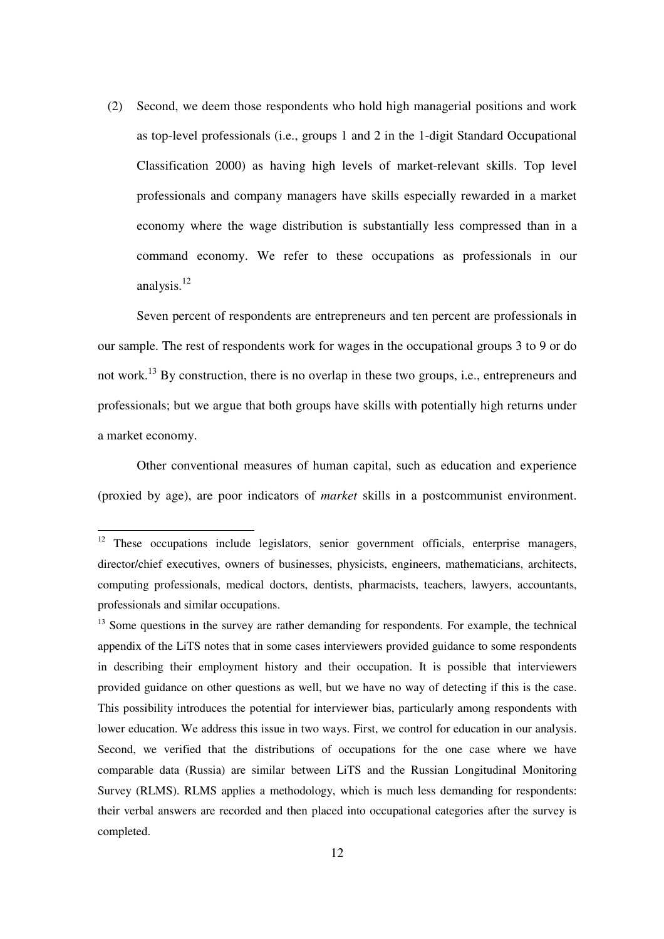(2) Second, we deem those respondents who hold high managerial positions and work as top-level professionals (i.e., groups 1 and 2 in the 1-digit Standard Occupational Classification 2000) as having high levels of market-relevant skills. Top level professionals and company managers have skills especially rewarded in a market economy where the wage distribution is substantially less compressed than in a command economy. We refer to these occupations as professionals in our analysis.<sup>12</sup>

Seven percent of respondents are entrepreneurs and ten percent are professionals in our sample. The rest of respondents work for wages in the occupational groups 3 to 9 or do not work.<sup>13</sup> By construction, there is no overlap in these two groups, i.e., entrepreneurs and professionals; but we argue that both groups have skills with potentially high returns under a market economy.

Other conventional measures of human capital, such as education and experience (proxied by age), are poor indicators of *market* skills in a postcommunist environment.

<sup>13</sup> Some questions in the survey are rather demanding for respondents. For example, the technical appendix of the LiTS notes that in some cases interviewers provided guidance to some respondents in describing their employment history and their occupation. It is possible that interviewers provided guidance on other questions as well, but we have no way of detecting if this is the case. This possibility introduces the potential for interviewer bias, particularly among respondents with lower education. We address this issue in two ways. First, we control for education in our analysis. Second, we verified that the distributions of occupations for the one case where we have comparable data (Russia) are similar between LiTS and the Russian Longitudinal Monitoring Survey (RLMS). RLMS applies a methodology, which is much less demanding for respondents: their verbal answers are recorded and then placed into occupational categories after the survey is completed.

 $12$  These occupations include legislators, senior government officials, enterprise managers, director/chief executives, owners of businesses, physicists, engineers, mathematicians, architects, computing professionals, medical doctors, dentists, pharmacists, teachers, lawyers, accountants, professionals and similar occupations.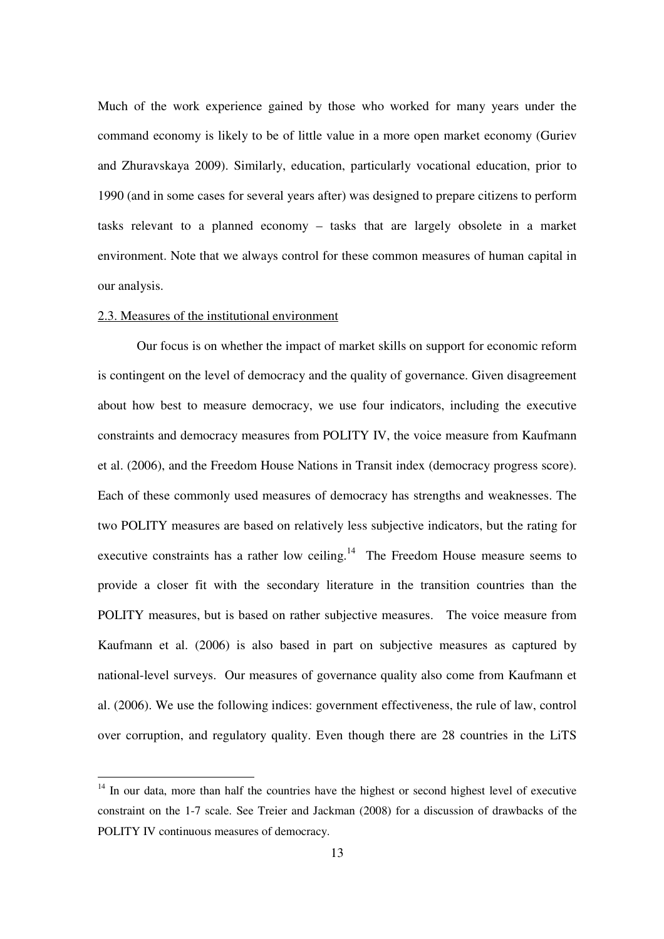Much of the work experience gained by those who worked for many years under the command economy is likely to be of little value in a more open market economy (Guriev and Zhuravskaya 2009). Similarly, education, particularly vocational education, prior to 1990 (and in some cases for several years after) was designed to prepare citizens to perform tasks relevant to a planned economy – tasks that are largely obsolete in a market environment. Note that we always control for these common measures of human capital in our analysis.

## 2.3. Measures of the institutional environment

Our focus is on whether the impact of market skills on support for economic reform is contingent on the level of democracy and the quality of governance. Given disagreement about how best to measure democracy, we use four indicators, including the executive constraints and democracy measures from POLITY IV, the voice measure from Kaufmann et al. (2006), and the Freedom House Nations in Transit index (democracy progress score). Each of these commonly used measures of democracy has strengths and weaknesses. The two POLITY measures are based on relatively less subjective indicators, but the rating for executive constraints has a rather low ceiling.<sup>14</sup> The Freedom House measure seems to provide a closer fit with the secondary literature in the transition countries than the POLITY measures, but is based on rather subjective measures. The voice measure from Kaufmann et al. (2006) is also based in part on subjective measures as captured by national-level surveys. Our measures of governance quality also come from Kaufmann et al. (2006). We use the following indices: government effectiveness, the rule of law, control over corruption, and regulatory quality. Even though there are 28 countries in the LiTS

<sup>&</sup>lt;sup>14</sup> In our data, more than half the countries have the highest or second highest level of executive constraint on the 1-7 scale. See Treier and Jackman (2008) for a discussion of drawbacks of the POLITY IV continuous measures of democracy.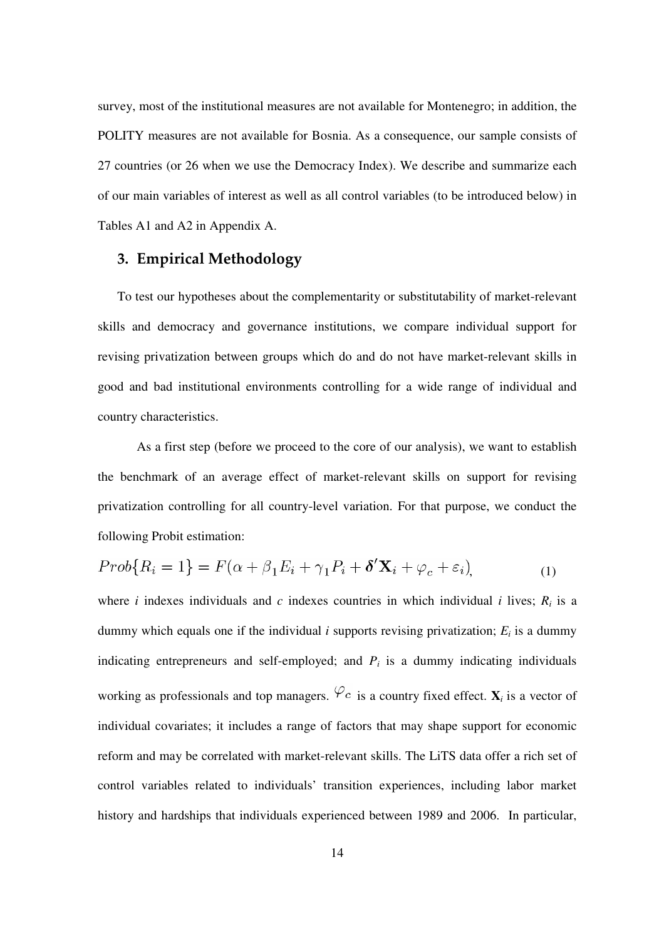survey, most of the institutional measures are not available for Montenegro; in addition, the POLITY measures are not available for Bosnia. As a consequence, our sample consists of 27 countries (or 26 when we use the Democracy Index). We describe and summarize each of our main variables of interest as well as all control variables (to be introduced below) in Tables A1 and A2 in Appendix A.

# 3. Empirical Methodology

To test our hypotheses about the complementarity or substitutability of market-relevant skills and democracy and governance institutions, we compare individual support for revising privatization between groups which do and do not have market-relevant skills in good and bad institutional environments controlling for a wide range of individual and country characteristics.

As a first step (before we proceed to the core of our analysis), we want to establish the benchmark of an average effect of market-relevant skills on support for revising privatization controlling for all country-level variation. For that purpose, we conduct the following Probit estimation:

$$
Prob\{R_i = 1\} = F(\alpha + \beta_1 E_i + \gamma_1 P_i + \delta' \mathbf{X}_i + \varphi_c + \varepsilon_i),
$$
\n(1)

where *i* indexes individuals and *c* indexes countries in which individual *i* lives;  $R_i$  is a dummy which equals one if the individual  $i$  supports revising privatization;  $E_i$  is a dummy indicating entrepreneurs and self-employed; and  $P_i$  is a dummy indicating individuals working as professionals and top managers.  $\varphi_c$  is a country fixed effect.  $\mathbf{X}_i$  is a vector of individual covariates; it includes a range of factors that may shape support for economic reform and may be correlated with market-relevant skills. The LiTS data offer a rich set of control variables related to individuals' transition experiences, including labor market history and hardships that individuals experienced between 1989 and 2006. In particular,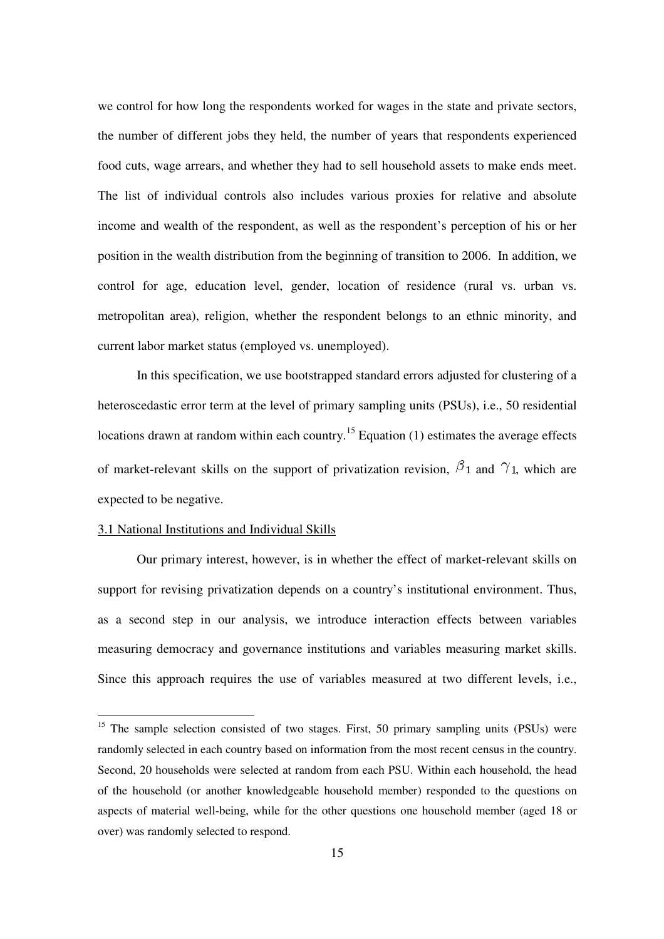we control for how long the respondents worked for wages in the state and private sectors, the number of different jobs they held, the number of years that respondents experienced food cuts, wage arrears, and whether they had to sell household assets to make ends meet. The list of individual controls also includes various proxies for relative and absolute income and wealth of the respondent, as well as the respondent's perception of his or her position in the wealth distribution from the beginning of transition to 2006. In addition, we control for age, education level, gender, location of residence (rural vs. urban vs. metropolitan area), religion, whether the respondent belongs to an ethnic minority, and current labor market status (employed vs. unemployed).

In this specification, we use bootstrapped standard errors adjusted for clustering of a heteroscedastic error term at the level of primary sampling units (PSUs), i.e., 50 residential locations drawn at random within each country.<sup>15</sup> Equation (1) estimates the average effects of market-relevant skills on the support of privatization revision,  $\beta_1$  and  $\gamma_1$ , which are expected to be negative.

#### 3.1 National Institutions and Individual Skills

Our primary interest, however, is in whether the effect of market-relevant skills on support for revising privatization depends on a country's institutional environment. Thus, as a second step in our analysis, we introduce interaction effects between variables measuring democracy and governance institutions and variables measuring market skills. Since this approach requires the use of variables measured at two different levels, i.e.,

<sup>&</sup>lt;sup>15</sup> The sample selection consisted of two stages. First, 50 primary sampling units (PSUs) were randomly selected in each country based on information from the most recent census in the country. Second, 20 households were selected at random from each PSU. Within each household, the head of the household (or another knowledgeable household member) responded to the questions on aspects of material well-being, while for the other questions one household member (aged 18 or over) was randomly selected to respond.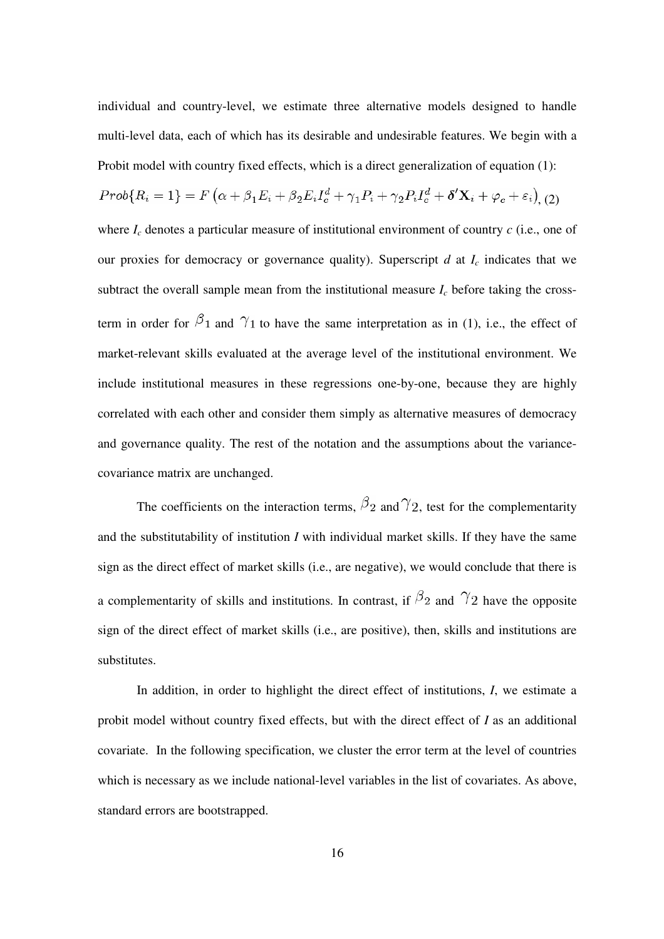individual and country-level, we estimate three alternative models designed to handle multi-level data, each of which has its desirable and undesirable features. We begin with a Probit model with country fixed effects, which is a direct generalization of equation (1):

$$
Prob\{R_i=1\}=F\left(\alpha+\beta_1E_i+\beta_2E_iI_c^d+\gamma_1P_i+\gamma_2P_iI_c^d+\delta'\mathbf{X}_i+\varphi_c+\varepsilon_i\right), (2)
$$

where  $I_c$  denotes a particular measure of institutional environment of country  $c$  (i.e., one of our proxies for democracy or governance quality). Superscript  $d$  at  $I_c$  indicates that we subtract the overall sample mean from the institutional measure  $I_c$  before taking the crossterm in order for  $\beta_1$  and  $\gamma_1$  to have the same interpretation as in (1), i.e., the effect of market-relevant skills evaluated at the average level of the institutional environment. We include institutional measures in these regressions one-by-one, because they are highly correlated with each other and consider them simply as alternative measures of democracy and governance quality. The rest of the notation and the assumptions about the variancecovariance matrix are unchanged.

The coefficients on the interaction terms,  $\beta_2$  and  $\gamma_2$ , test for the complementarity and the substitutability of institution *I* with individual market skills. If they have the same sign as the direct effect of market skills (i.e., are negative), we would conclude that there is a complementarity of skills and institutions. In contrast, if  $\beta_2$  and  $\gamma_2$  have the opposite sign of the direct effect of market skills (i.e., are positive), then, skills and institutions are substitutes.

In addition, in order to highlight the direct effect of institutions, *I*, we estimate a probit model without country fixed effects, but with the direct effect of *I* as an additional covariate. In the following specification, we cluster the error term at the level of countries which is necessary as we include national-level variables in the list of covariates. As above, standard errors are bootstrapped.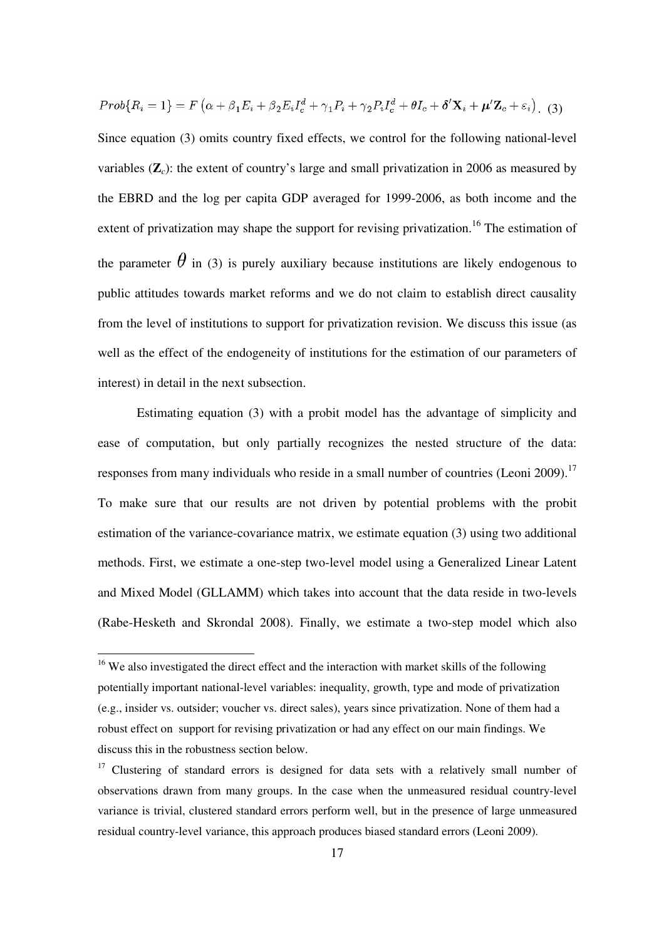$$
Prob\{R_i=1\}=F\left(\alpha+\beta_1E_i+\beta_2E_iI_c^d+\gamma_1P_i+\gamma_2P_iI_c^d+\theta I_c+\delta'\mathbf{X}_i+\boldsymbol{\mu}'\mathbf{Z}_c+\varepsilon_i\right).
$$
 (3)

Since equation (3) omits country fixed effects, we control for the following national-level variables (**Z***c*): the extent of country's large and small privatization in 2006 as measured by the EBRD and the log per capita GDP averaged for 1999-2006, as both income and the extent of privatization may shape the support for revising privatization.<sup>16</sup> The estimation of the parameter  $\theta$  in (3) is purely auxiliary because institutions are likely endogenous to public attitudes towards market reforms and we do not claim to establish direct causality from the level of institutions to support for privatization revision. We discuss this issue (as well as the effect of the endogeneity of institutions for the estimation of our parameters of interest) in detail in the next subsection.

Estimating equation (3) with a probit model has the advantage of simplicity and ease of computation, but only partially recognizes the nested structure of the data: responses from many individuals who reside in a small number of countries (Leoni 2009).<sup>17</sup> To make sure that our results are not driven by potential problems with the probit estimation of the variance-covariance matrix, we estimate equation (3) using two additional methods. First, we estimate a one-step two-level model using a Generalized Linear Latent and Mixed Model (GLLAMM) which takes into account that the data reside in two-levels (Rabe-Hesketh and Skrondal 2008). Finally, we estimate a two-step model which also

 $16$  We also investigated the direct effect and the interaction with market skills of the following potentially important national-level variables: inequality, growth, type and mode of privatization (e.g., insider vs. outsider; voucher vs. direct sales), years since privatization. None of them had a robust effect on support for revising privatization or had any effect on our main findings. We discuss this in the robustness section below.

<sup>&</sup>lt;sup>17</sup> Clustering of standard errors is designed for data sets with a relatively small number of observations drawn from many groups. In the case when the unmeasured residual country-level variance is trivial, clustered standard errors perform well, but in the presence of large unmeasured residual country-level variance, this approach produces biased standard errors (Leoni 2009).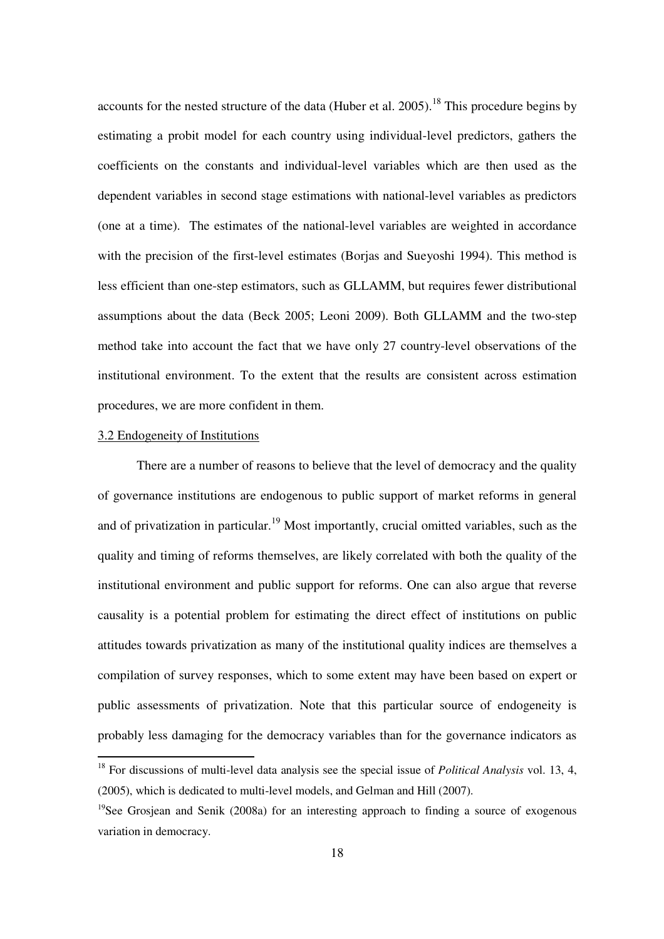accounts for the nested structure of the data (Huber et al. 2005).<sup>18</sup> This procedure begins by estimating a probit model for each country using individual-level predictors, gathers the coefficients on the constants and individual-level variables which are then used as the dependent variables in second stage estimations with national-level variables as predictors (one at a time). The estimates of the national-level variables are weighted in accordance with the precision of the first-level estimates (Borjas and Sueyoshi 1994). This method is less efficient than one-step estimators, such as GLLAMM, but requires fewer distributional assumptions about the data (Beck 2005; Leoni 2009). Both GLLAMM and the two-step method take into account the fact that we have only 27 country-level observations of the institutional environment. To the extent that the results are consistent across estimation procedures, we are more confident in them.

## 3.2 Endogeneity of Institutions

There are a number of reasons to believe that the level of democracy and the quality of governance institutions are endogenous to public support of market reforms in general and of privatization in particular.<sup>19</sup> Most importantly, crucial omitted variables, such as the quality and timing of reforms themselves, are likely correlated with both the quality of the institutional environment and public support for reforms. One can also argue that reverse causality is a potential problem for estimating the direct effect of institutions on public attitudes towards privatization as many of the institutional quality indices are themselves a compilation of survey responses, which to some extent may have been based on expert or public assessments of privatization. Note that this particular source of endogeneity is probably less damaging for the democracy variables than for the governance indicators as

<sup>&</sup>lt;sup>18</sup> For discussions of multi-level data analysis see the special issue of *Political Analysis* vol. 13, 4, (2005), which is dedicated to multi-level models, and Gelman and Hill (2007).

<sup>&</sup>lt;sup>19</sup>See Grosjean and Senik (2008a) for an interesting approach to finding a source of exogenous variation in democracy.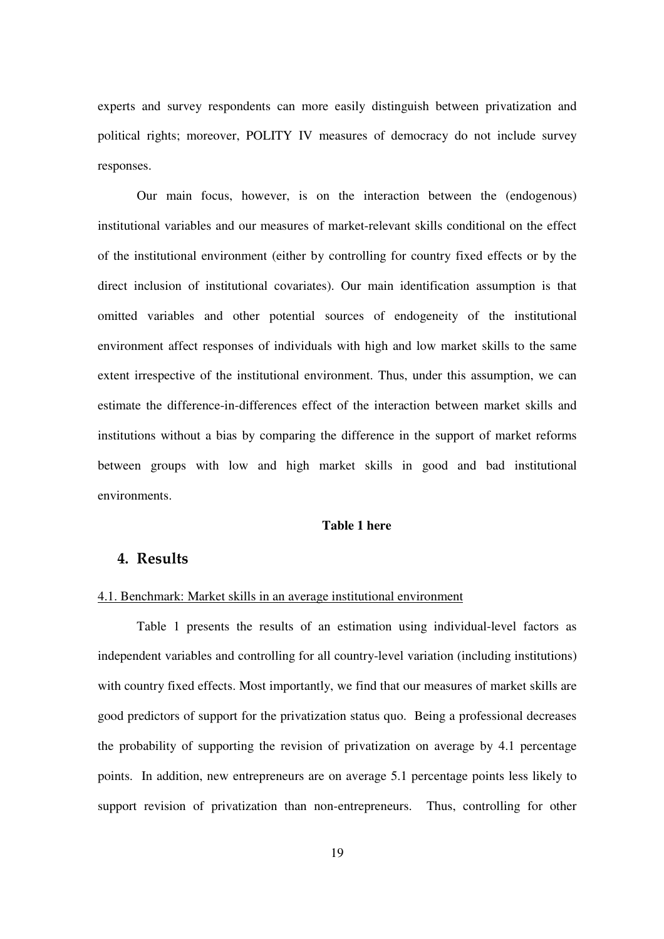experts and survey respondents can more easily distinguish between privatization and political rights; moreover, POLITY IV measures of democracy do not include survey responses.

Our main focus, however, is on the interaction between the (endogenous) institutional variables and our measures of market-relevant skills conditional on the effect of the institutional environment (either by controlling for country fixed effects or by the direct inclusion of institutional covariates). Our main identification assumption is that omitted variables and other potential sources of endogeneity of the institutional environment affect responses of individuals with high and low market skills to the same extent irrespective of the institutional environment. Thus, under this assumption, we can estimate the difference-in-differences effect of the interaction between market skills and institutions without a bias by comparing the difference in the support of market reforms between groups with low and high market skills in good and bad institutional environments.

## **Table 1 here**

# 4. Results

#### 4.1. Benchmark: Market skills in an average institutional environment

Table 1 presents the results of an estimation using individual-level factors as independent variables and controlling for all country-level variation (including institutions) with country fixed effects. Most importantly, we find that our measures of market skills are good predictors of support for the privatization status quo. Being a professional decreases the probability of supporting the revision of privatization on average by 4.1 percentage points. In addition, new entrepreneurs are on average 5.1 percentage points less likely to support revision of privatization than non-entrepreneurs. Thus, controlling for other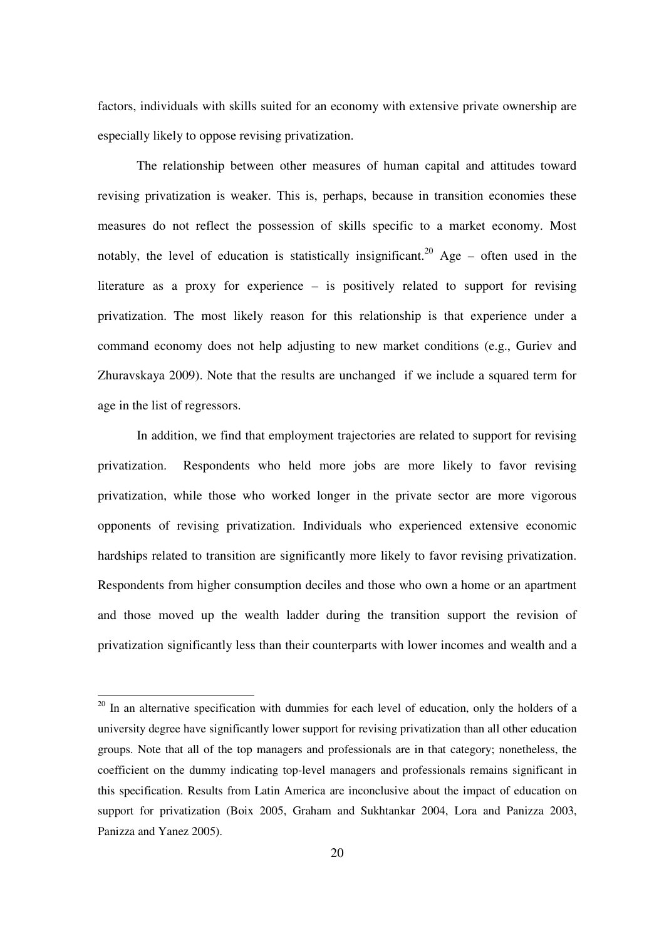factors, individuals with skills suited for an economy with extensive private ownership are especially likely to oppose revising privatization.

The relationship between other measures of human capital and attitudes toward revising privatization is weaker. This is, perhaps, because in transition economies these measures do not reflect the possession of skills specific to a market economy. Most notably, the level of education is statistically insignificant.<sup>20</sup> Age – often used in the literature as a proxy for experience – is positively related to support for revising privatization. The most likely reason for this relationship is that experience under a command economy does not help adjusting to new market conditions (e.g., Guriev and Zhuravskaya 2009). Note that the results are unchanged if we include a squared term for age in the list of regressors.

In addition, we find that employment trajectories are related to support for revising privatization. Respondents who held more jobs are more likely to favor revising privatization, while those who worked longer in the private sector are more vigorous opponents of revising privatization. Individuals who experienced extensive economic hardships related to transition are significantly more likely to favor revising privatization. Respondents from higher consumption deciles and those who own a home or an apartment and those moved up the wealth ladder during the transition support the revision of privatization significantly less than their counterparts with lower incomes and wealth and a

<sup>&</sup>lt;sup>20</sup> In an alternative specification with dummies for each level of education, only the holders of a university degree have significantly lower support for revising privatization than all other education groups. Note that all of the top managers and professionals are in that category; nonetheless, the coefficient on the dummy indicating top-level managers and professionals remains significant in this specification. Results from Latin America are inconclusive about the impact of education on support for privatization (Boix 2005, Graham and Sukhtankar 2004, Lora and Panizza 2003, Panizza and Yanez 2005).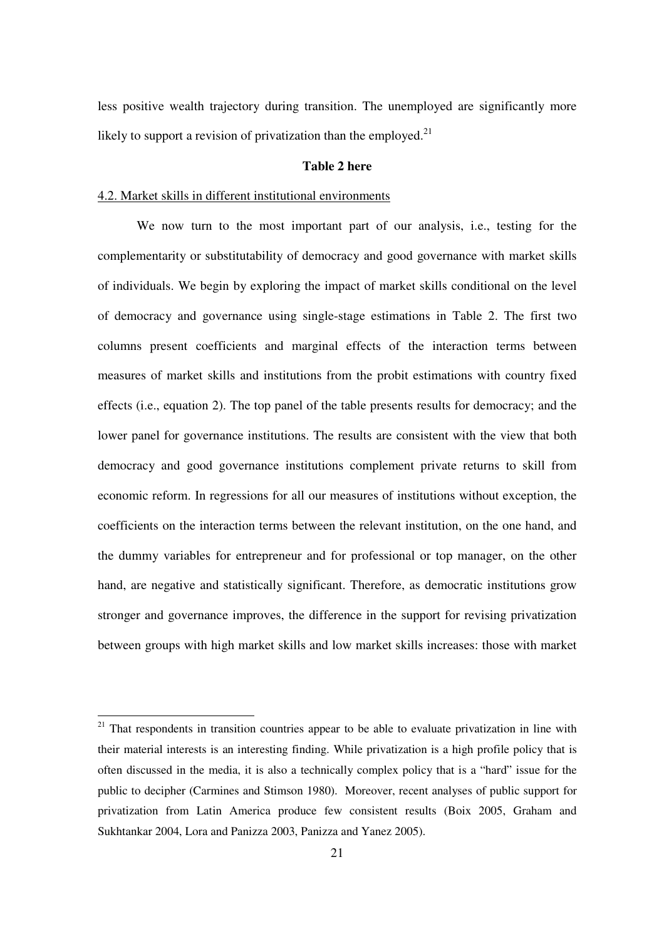less positive wealth trajectory during transition. The unemployed are significantly more likely to support a revision of privatization than the employed.<sup>21</sup>

#### **Table 2 here**

## 4.2. Market skills in different institutional environments

We now turn to the most important part of our analysis, i.e., testing for the complementarity or substitutability of democracy and good governance with market skills of individuals. We begin by exploring the impact of market skills conditional on the level of democracy and governance using single-stage estimations in Table 2. The first two columns present coefficients and marginal effects of the interaction terms between measures of market skills and institutions from the probit estimations with country fixed effects (i.e., equation 2). The top panel of the table presents results for democracy; and the lower panel for governance institutions. The results are consistent with the view that both democracy and good governance institutions complement private returns to skill from economic reform. In regressions for all our measures of institutions without exception, the coefficients on the interaction terms between the relevant institution, on the one hand, and the dummy variables for entrepreneur and for professional or top manager, on the other hand, are negative and statistically significant. Therefore, as democratic institutions grow stronger and governance improves, the difference in the support for revising privatization between groups with high market skills and low market skills increases: those with market

 $21$  That respondents in transition countries appear to be able to evaluate privatization in line with their material interests is an interesting finding. While privatization is a high profile policy that is often discussed in the media, it is also a technically complex policy that is a " hard" issue for the public to decipher (Carmines and Stimson 1980). Moreover, recent analyses of public support for privatization from Latin America produce few consistent results (Boix 2005, Graham and Sukhtankar 2004, Lora and Panizza 2003, Panizza and Yanez 2005).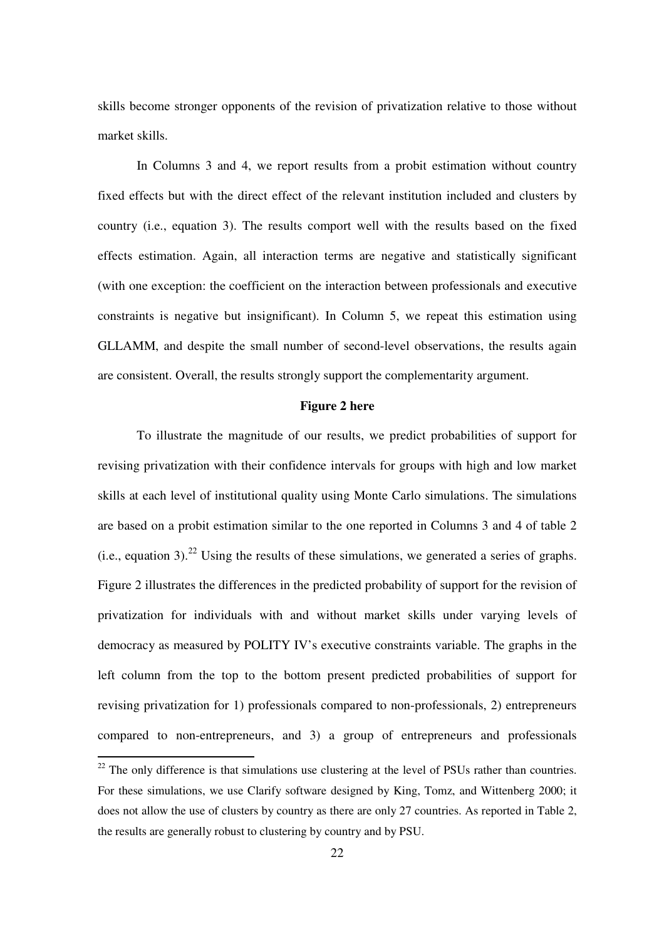skills become stronger opponents of the revision of privatization relative to those without market skills.

In Columns 3 and 4, we report results from a probit estimation without country fixed effects but with the direct effect of the relevant institution included and clusters by country (i.e., equation 3). The results comport well with the results based on the fixed effects estimation. Again, all interaction terms are negative and statistically significant (with one exception: the coefficient on the interaction between professionals and executive constraints is negative but insignificant). In Column 5, we repeat this estimation using GLLAMM, and despite the small number of second-level observations, the results again are consistent. Overall, the results strongly support the complementarity argument.

### **Figure 2 here**

To illustrate the magnitude of our results, we predict probabilities of support for revising privatization with their confidence intervals for groups with high and low market skills at each level of institutional quality using Monte Carlo simulations. The simulations are based on a probit estimation similar to the one reported in Columns 3 and 4 of table 2 (i.e., equation 3).<sup>22</sup> Using the results of these simulations, we generated a series of graphs. Figure 2 illustrates the differences in the predicted probability of support for the revision of privatization for individuals with and without market skills under varying levels of democracy as measured by POLITY IV's executive constraints variable. The graphs in the left column from the top to the bottom present predicted probabilities of support for revising privatization for 1) professionals compared to non-professionals, 2) entrepreneurs compared to non-entrepreneurs, and 3) a group of entrepreneurs and professionals

<sup>&</sup>lt;sup>22</sup> The only difference is that simulations use clustering at the level of PSUs rather than countries. For these simulations, we use Clarify software designed by King, Tomz, and Wittenberg 2000; it does not allow the use of clusters by country as there are only 27 countries. As reported in Table 2, the results are generally robust to clustering by country and by PSU.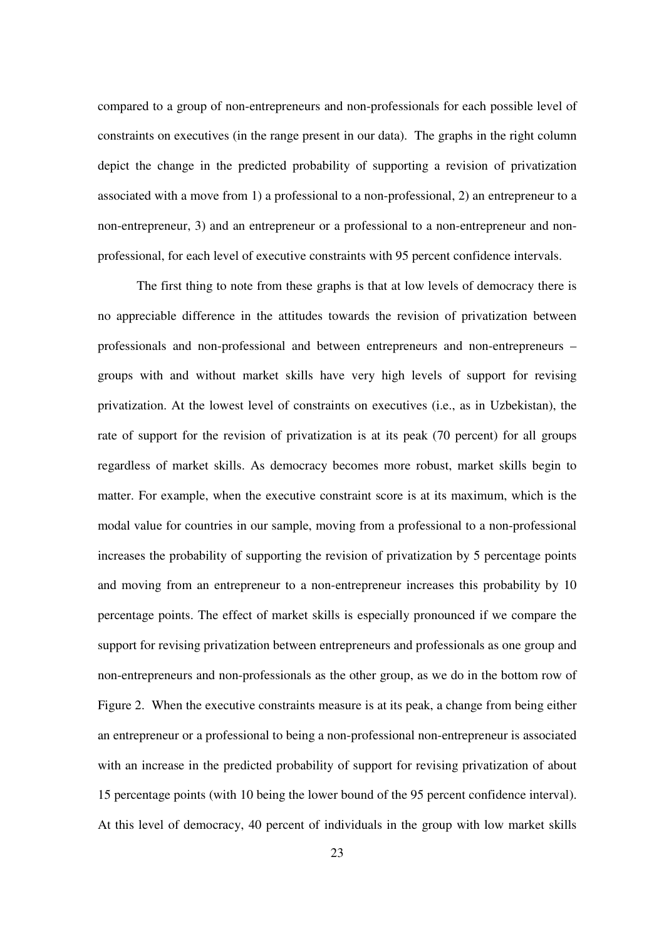compared to a group of non-entrepreneurs and non-professionals for each possible level of constraints on executives (in the range present in our data). The graphs in the right column depict the change in the predicted probability of supporting a revision of privatization associated with a move from 1) a professional to a non-professional, 2) an entrepreneur to a non-entrepreneur, 3) and an entrepreneur or a professional to a non-entrepreneur and nonprofessional, for each level of executive constraints with 95 percent confidence intervals.

The first thing to note from these graphs is that at low levels of democracy there is no appreciable difference in the attitudes towards the revision of privatization between professionals and non-professional and between entrepreneurs and non-entrepreneurs – groups with and without market skills have very high levels of support for revising privatization. At the lowest level of constraints on executives (i.e., as in Uzbekistan), the rate of support for the revision of privatization is at its peak (70 percent) for all groups regardless of market skills. As democracy becomes more robust, market skills begin to matter. For example, when the executive constraint score is at its maximum, which is the modal value for countries in our sample, moving from a professional to a non-professional increases the probability of supporting the revision of privatization by 5 percentage points and moving from an entrepreneur to a non-entrepreneur increases this probability by 10 percentage points. The effect of market skills is especially pronounced if we compare the support for revising privatization between entrepreneurs and professionals as one group and non-entrepreneurs and non-professionals as the other group, as we do in the bottom row of Figure 2. When the executive constraints measure is at its peak, a change from being either an entrepreneur or a professional to being a non-professional non-entrepreneur is associated with an increase in the predicted probability of support for revising privatization of about 15 percentage points (with 10 being the lower bound of the 95 percent confidence interval). At this level of democracy, 40 percent of individuals in the group with low market skills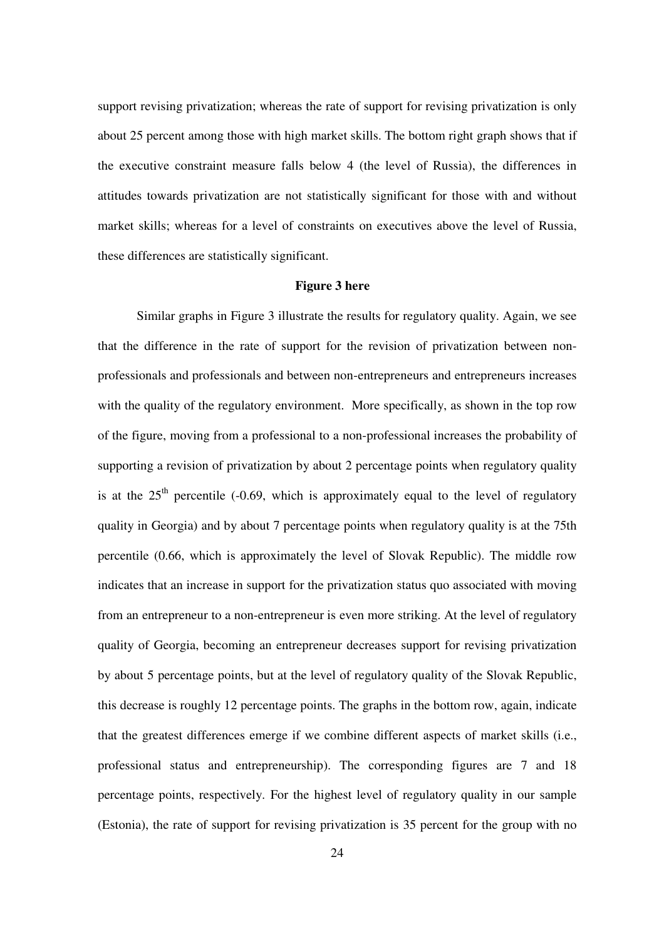support revising privatization; whereas the rate of support for revising privatization is only about 25 percent among those with high market skills. The bottom right graph shows that if the executive constraint measure falls below 4 (the level of Russia), the differences in attitudes towards privatization are not statistically significant for those with and without market skills; whereas for a level of constraints on executives above the level of Russia, these differences are statistically significant.

## **Figure 3 here**

Similar graphs in Figure 3 illustrate the results for regulatory quality. Again, we see that the difference in the rate of support for the revision of privatization between nonprofessionals and professionals and between non-entrepreneurs and entrepreneurs increases with the quality of the regulatory environment. More specifically, as shown in the top row of the figure, moving from a professional to a non-professional increases the probability of supporting a revision of privatization by about 2 percentage points when regulatory quality is at the  $25<sup>th</sup>$  percentile (-0.69, which is approximately equal to the level of regulatory quality in Georgia) and by about 7 percentage points when regulatory quality is at the 75th percentile (0.66, which is approximately the level of Slovak Republic). The middle row indicates that an increase in support for the privatization status quo associated with moving from an entrepreneur to a non-entrepreneur is even more striking. At the level of regulatory quality of Georgia, becoming an entrepreneur decreases support for revising privatization by about 5 percentage points, but at the level of regulatory quality of the Slovak Republic, this decrease is roughly 12 percentage points. The graphs in the bottom row, again, indicate that the greatest differences emerge if we combine different aspects of market skills (i.e., professional status and entrepreneurship). The corresponding figures are 7 and 18 percentage points, respectively. For the highest level of regulatory quality in our sample (Estonia), the rate of support for revising privatization is 35 percent for the group with no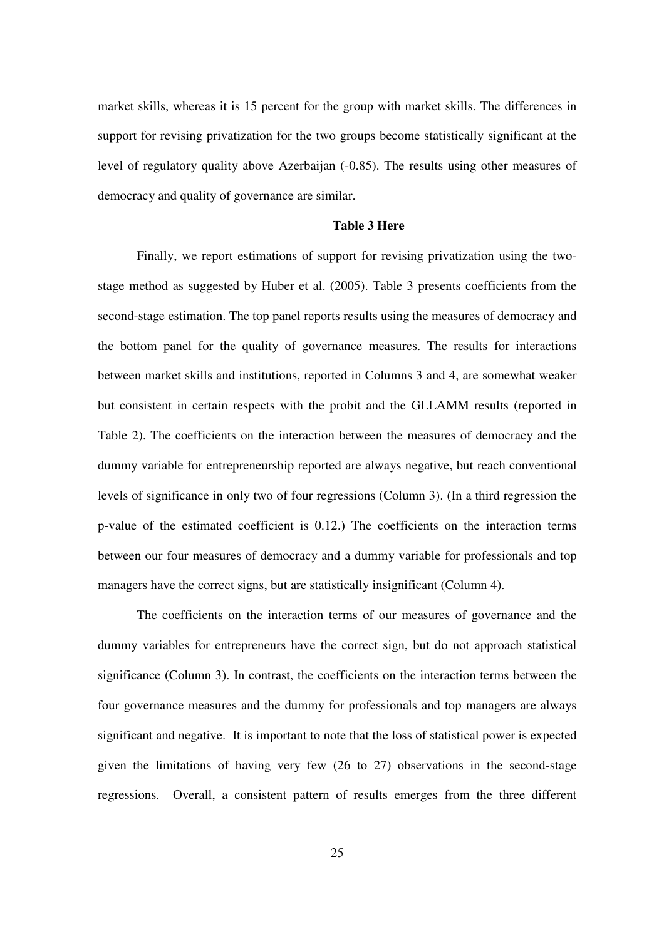market skills, whereas it is 15 percent for the group with market skills. The differences in support for revising privatization for the two groups become statistically significant at the level of regulatory quality above Azerbaijan (-0.85). The results using other measures of democracy and quality of governance are similar.

### **Table 3 Here**

Finally, we report estimations of support for revising privatization using the twostage method as suggested by Huber et al. (2005). Table 3 presents coefficients from the second-stage estimation. The top panel reports results using the measures of democracy and the bottom panel for the quality of governance measures. The results for interactions between market skills and institutions, reported in Columns 3 and 4, are somewhat weaker but consistent in certain respects with the probit and the GLLAMM results (reported in Table 2). The coefficients on the interaction between the measures of democracy and the dummy variable for entrepreneurship reported are always negative, but reach conventional levels of significance in only two of four regressions (Column 3). (In a third regression the p-value of the estimated coefficient is 0.12.) The coefficients on the interaction terms between our four measures of democracy and a dummy variable for professionals and top managers have the correct signs, but are statistically insignificant (Column 4).

The coefficients on the interaction terms of our measures of governance and the dummy variables for entrepreneurs have the correct sign, but do not approach statistical significance (Column 3). In contrast, the coefficients on the interaction terms between the four governance measures and the dummy for professionals and top managers are always significant and negative. It is important to note that the loss of statistical power is expected given the limitations of having very few (26 to 27) observations in the second-stage regressions. Overall, a consistent pattern of results emerges from the three different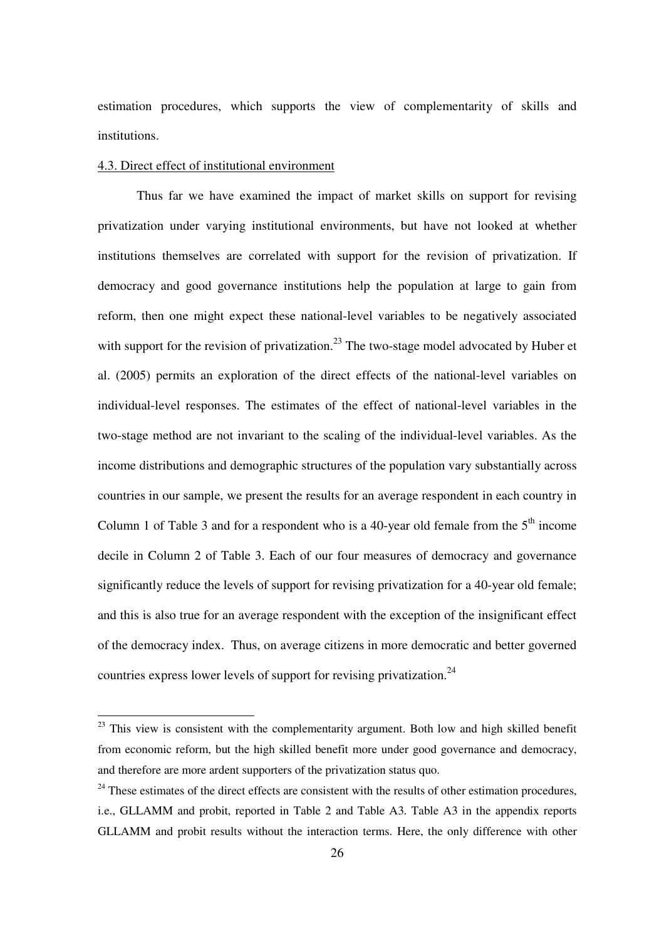estimation procedures, which supports the view of complementarity of skills and institutions.

## 4.3. Direct effect of institutional environment

Thus far we have examined the impact of market skills on support for revising privatization under varying institutional environments, but have not looked at whether institutions themselves are correlated with support for the revision of privatization. If democracy and good governance institutions help the population at large to gain from reform, then one might expect these national-level variables to be negatively associated with support for the revision of privatization.<sup>23</sup> The two-stage model advocated by Huber et al. (2005) permits an exploration of the direct effects of the national-level variables on individual-level responses. The estimates of the effect of national-level variables in the two-stage method are not invariant to the scaling of the individual-level variables. As the income distributions and demographic structures of the population vary substantially across countries in our sample, we present the results for an average respondent in each country in Column 1 of Table 3 and for a respondent who is a 40-year old female from the  $5<sup>th</sup>$  income decile in Column 2 of Table 3. Each of our four measures of democracy and governance significantly reduce the levels of support for revising privatization for a 40-year old female; and this is also true for an average respondent with the exception of the insignificant effect of the democracy index. Thus, on average citizens in more democratic and better governed countries express lower levels of support for revising privatization.<sup>24</sup>

 $23$  This view is consistent with the complementarity argument. Both low and high skilled benefit from economic reform, but the high skilled benefit more under good governance and democracy, and therefore are more ardent supporters of the privatization status quo.

 $24$  These estimates of the direct effects are consistent with the results of other estimation procedures, i.e., GLLAMM and probit, reported in Table 2 and Table A3. Table A3 in the appendix reports GLLAMM and probit results without the interaction terms. Here, the only difference with other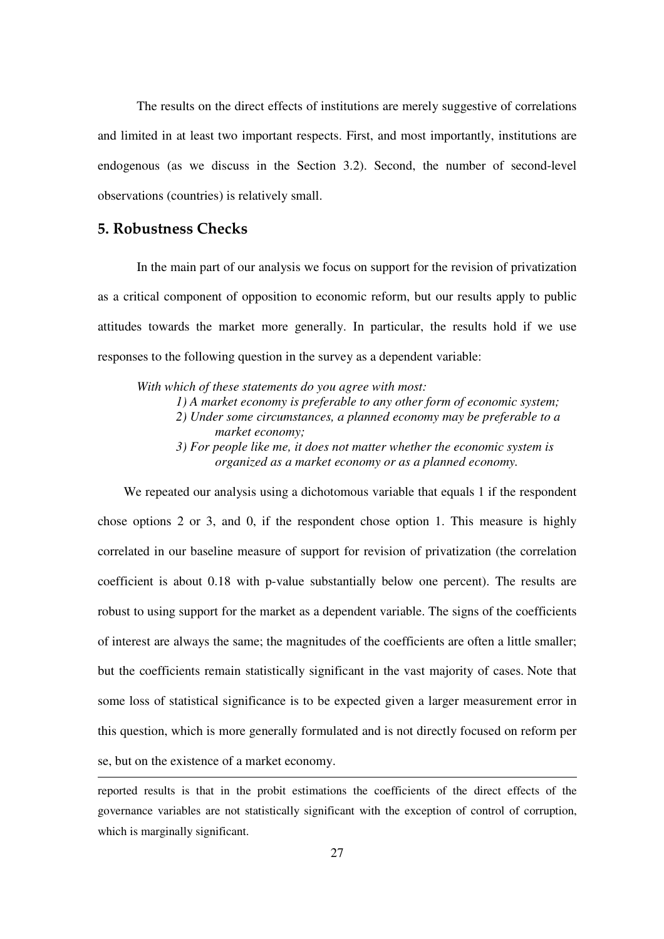The results on the direct effects of institutions are merely suggestive of correlations and limited in at least two important respects. First, and most importantly, institutions are endogenous (as we discuss in the Section 3.2). Second, the number of second-level observations (countries) is relatively small.

# 5. Robustness Checks

In the main part of our analysis we focus on support for the revision of privatization as a critical component of opposition to economic reform, but our results apply to public attitudes towards the market more generally. In particular, the results hold if we use responses to the following question in the survey as a dependent variable:

*With which of these statements do you agree with most: 1) A market economy is preferable to any other form of economic system; 2) Under some circumstances, a planned economy may be preferable to a market economy; 3) For people like me, it does not matter whether the economic system is organized as a market economy or as a planned economy.*

We repeated our analysis using a dichotomous variable that equals 1 if the respondent chose options 2 or 3, and 0, if the respondent chose option 1. This measure is highly correlated in our baseline measure of support for revision of privatization (the correlation coefficient is about 0.18 with p-value substantially below one percent). The results are robust to using support for the market as a dependent variable. The signs of the coefficients of interest are always the same; the magnitudes of the coefficients are often a little smaller; but the coefficients remain statistically significant in the vast majority of cases. Note that some loss of statistical significance is to be expected given a larger measurement error in this question, which is more generally formulated and is not directly focused on reform per se, but on the existence of a market economy.

reported results is that in the probit estimations the coefficients of the direct effects of the governance variables are not statistically significant with the exception of control of corruption, which is marginally significant.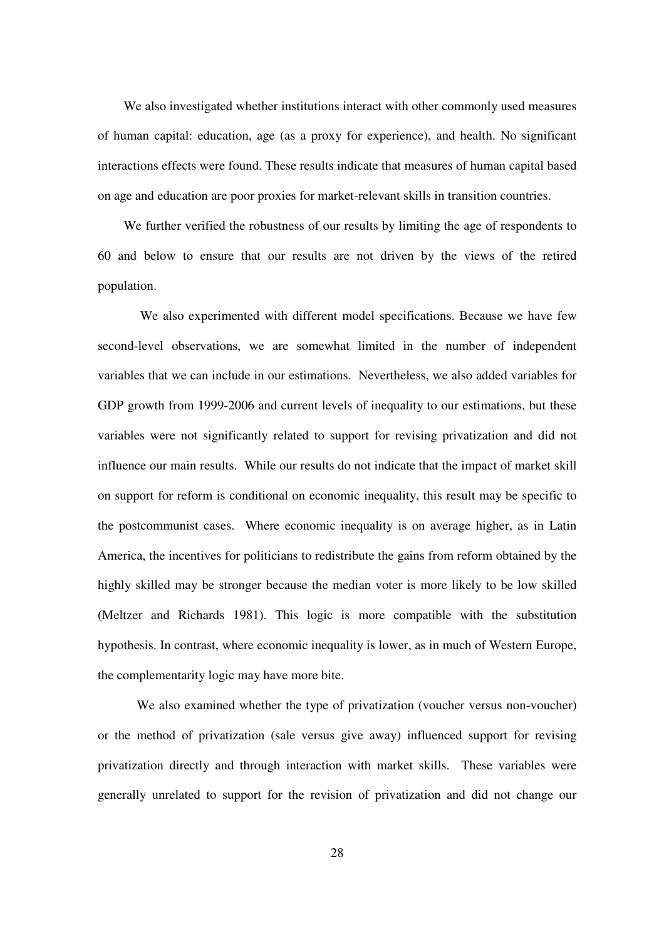We also investigated whether institutions interact with other commonly used measures of human capital: education, age (as a proxy for experience), and health. No significant interactions effects were found. These results indicate that measures of human capital based on age and education are poor proxies for market-relevant skills in transition countries.

We further verified the robustness of our results by limiting the age of respondents to 60 and below to ensure that our results are not driven by the views of the retired population.

We also experimented with different model specifications. Because we have few second-level observations, we are somewhat limited in the number of independent variables that we can include in our estimations. Nevertheless, we also added variables for GDP growth from 1999-2006 and current levels of inequality to our estimations, but these variables were not significantly related to support for revising privatization and did not influence our main results. While our results do not indicate that the impact of market skill on support for reform is conditional on economic inequality, this result may be specific to the postcommunist cases. Where economic inequality is on average higher, as in Latin America, the incentives for politicians to redistribute the gains from reform obtained by the highly skilled may be stronger because the median voter is more likely to be low skilled (Meltzer and Richards 1981). This logic is more compatible with the substitution hypothesis. In contrast, where economic inequality is lower, as in much of Western Europe, the complementarity logic may have more bite.

We also examined whether the type of privatization (voucher versus non-voucher) or the method of privatization (sale versus give away) influenced support for revising privatization directly and through interaction with market skills. These variables were generally unrelated to support for the revision of privatization and did not change our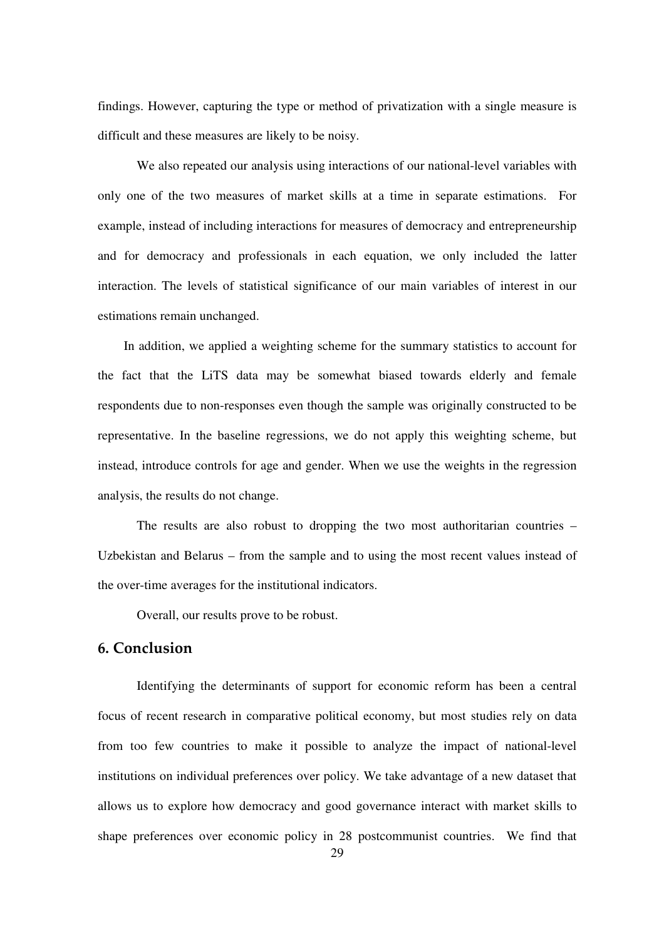findings. However, capturing the type or method of privatization with a single measure is difficult and these measures are likely to be noisy.

We also repeated our analysis using interactions of our national-level variables with only one of the two measures of market skills at a time in separate estimations. For example, instead of including interactions for measures of democracy and entrepreneurship and for democracy and professionals in each equation, we only included the latter interaction. The levels of statistical significance of our main variables of interest in our estimations remain unchanged.

In addition, we applied a weighting scheme for the summary statistics to account for the fact that the LiTS data may be somewhat biased towards elderly and female respondents due to non-responses even though the sample was originally constructed to be representative. In the baseline regressions, we do not apply this weighting scheme, but instead, introduce controls for age and gender. When we use the weights in the regression analysis, the results do not change.

The results are also robust to dropping the two most authoritarian countries – Uzbekistan and Belarus – from the sample and to using the most recent values instead of the over-time averages for the institutional indicators.

Overall, our results prove to be robust.

## 6. Conclusion

Identifying the determinants of support for economic reform has been a central focus of recent research in comparative political economy, but most studies rely on data from too few countries to make it possible to analyze the impact of national-level institutions on individual preferences over policy. We take advantage of a new dataset that allows us to explore how democracy and good governance interact with market skills to shape preferences over economic policy in 28 postcommunist countries. We find that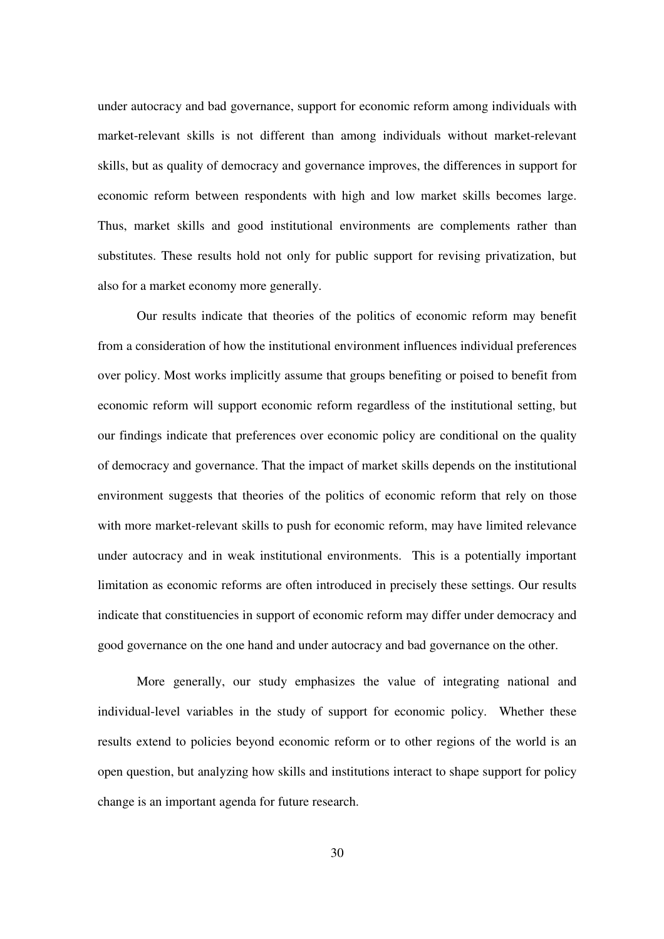under autocracy and bad governance, support for economic reform among individuals with market-relevant skills is not different than among individuals without market-relevant skills, but as quality of democracy and governance improves, the differences in support for economic reform between respondents with high and low market skills becomes large. Thus, market skills and good institutional environments are complements rather than substitutes. These results hold not only for public support for revising privatization, but also for a market economy more generally.

Our results indicate that theories of the politics of economic reform may benefit from a consideration of how the institutional environment influences individual preferences over policy. Most works implicitly assume that groups benefiting or poised to benefit from economic reform will support economic reform regardless of the institutional setting, but our findings indicate that preferences over economic policy are conditional on the quality of democracy and governance. That the impact of market skills depends on the institutional environment suggests that theories of the politics of economic reform that rely on those with more market-relevant skills to push for economic reform, may have limited relevance under autocracy and in weak institutional environments. This is a potentially important limitation as economic reforms are often introduced in precisely these settings. Our results indicate that constituencies in support of economic reform may differ under democracy and good governance on the one hand and under autocracy and bad governance on the other.

More generally, our study emphasizes the value of integrating national and individual-level variables in the study of support for economic policy. Whether these results extend to policies beyond economic reform or to other regions of the world is an open question, but analyzing how skills and institutions interact to shape support for policy change is an important agenda for future research.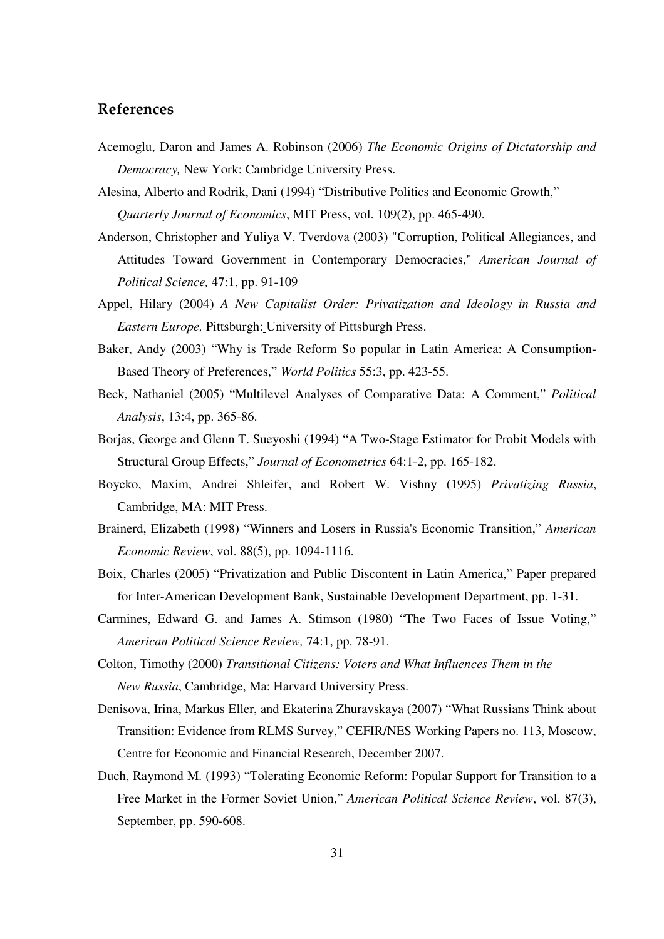# References

- Acemoglu, Daron and James A. Robinson (2006) *The Economic Origins of Dictatorship and Democracy,* New York: Cambridge University Press.
- Alesina, Alberto and Rodrik, Dani (1994) " Distributive Politics and Economic Growth," *Quarterly Journal of Economics*, MIT Press, vol. 109(2), pp. 465-490.
- Anderson, Christopher and Yuliya V. Tverdova (2003) "Corruption, Political Allegiances, and Attitudes Toward Government in Contemporary Democracies," *American Journal of Political Science,* 47:1, pp. 91-109
- Appel, Hilary (2004) *A New Capitalist Order: Privatization and Ideology in Russia and Eastern Europe,* Pittsburgh: University of Pittsburgh Press.
- Baker, Andy (2003) "Why is Trade Reform So popular in Latin America: A Consumption-Based Theory of Preferences," *World Politics* 55:3, pp. 423-55.
- Beck, Nathaniel (2005) " Multilevel Analyses of Comparative Data: A Comment," *Political Analysis*, 13:4, pp. 365-86.
- Borjas, George and Glenn T. Sueyoshi (1994) " A Two-Stage Estimator for Probit Models with Structural Group Effects," *Journal of Econometrics* 64:1-2, pp. 165-182.
- Boycko, Maxim, Andrei Shleifer, and Robert W. Vishny (1995) *Privatizing Russia*, Cambridge, MA: MIT Press.
- Brainerd, Elizabeth (1998) " Winners and Losers in Russia's Economic Transition," *American Economic Review*, vol. 88(5), pp. 1094-1116.
- Boix, Charles (2005) "Privatization and Public Discontent in Latin America," Paper prepared for Inter-American Development Bank, Sustainable Development Department, pp. 1-31.
- Carmines, Edward G. and James A. Stimson (1980) "The Two Faces of Issue Voting," *American Political Science Review,* 74:1, pp. 78-91.
- Colton, Timothy (2000) *Transitional Citizens: Voters and What Influences Them in the New Russia*, Cambridge, Ma: Harvard University Press.
- Denisova, Irina, Markus Eller, and Ekaterina Zhuravskaya (2007) " What Russians Think about Transition: Evidence from RLMS Survey," CEFIR/NES Working Papers no. 113, Moscow, Centre for Economic and Financial Research, December 2007.
- Duch, Raymond M. (1993) "Tolerating Economic Reform: Popular Support for Transition to a Free Market in the Former Soviet Union," *American Political Science Review*, vol. 87(3), September, pp. 590-608.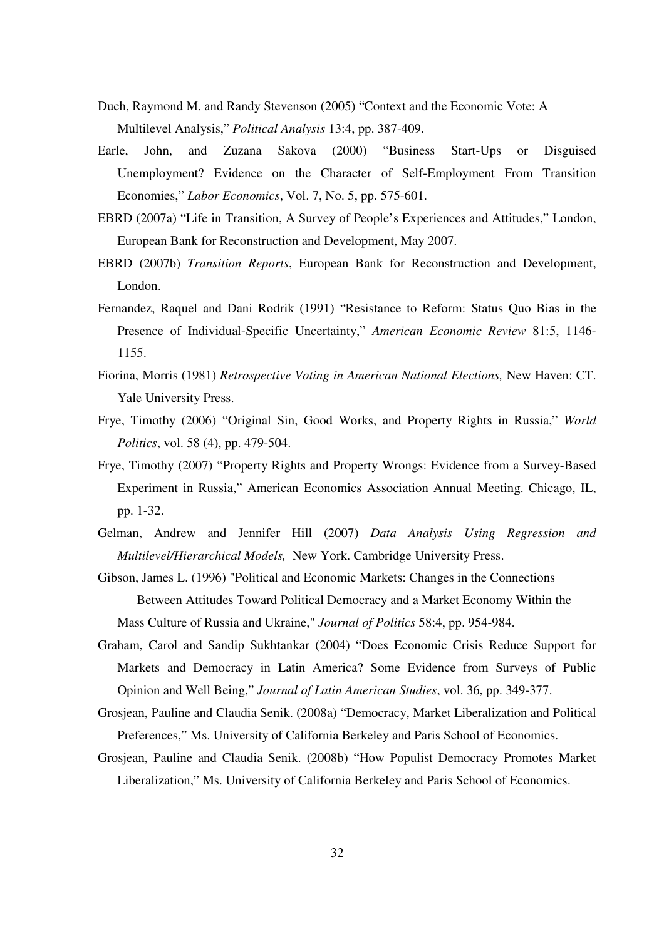- Duch, Raymond M. and Randy Stevenson (2005) "Context and the Economic Vote: A Multilevel Analysis," *Political Analysis* 13:4, pp. 387-409.
- Earle, John, and Zuzana Sakova (2000) "Business Start-Ups or Disguised Unemployment? Evidence on the Character of Self-Employment From Transition Economies," *Labor Economics*, Vol. 7, No. 5, pp. 575-601.
- EBRD (2007a) "Life in Transition, A Survey of People's Experiences and Attitudes," London, European Bank for Reconstruction and Development, May 2007.
- EBRD (2007b) *Transition Reports*, European Bank for Reconstruction and Development, London.
- Fernandez, Raquel and Dani Rodrik (1991) "Resistance to Reform: Status Quo Bias in the Presence of Individual-Specific Uncertainty," *American Economic Review* 81:5, 1146- 1155.
- Fiorina, Morris (1981) *Retrospective Voting in American National Elections,* New Haven: CT. Yale University Press.
- Frye, Timothy (2006) "Original Sin, Good Works, and Property Rights in Russia," *World Politics*, vol. 58 (4), pp. 479-504.
- Frye, Timothy (2007) "Property Rights and Property Wrongs: Evidence from a Survey-Based Experiment in Russia," American Economics Association Annual Meeting. Chicago, IL, pp. 1-32.
- Gelman, Andrew and Jennifer Hill (2007) *Data Analysis Using Regression and Multilevel/Hierarchical Models,* New York. Cambridge University Press.
- Gibson, James L. (1996) "Political and Economic Markets: Changes in the Connections Between Attitudes Toward Political Democracy and a Market Economy Within the Mass Culture of Russia and Ukraine," *Journal of Politics* 58:4, pp. 954-984.
- Graham, Carol and Sandip Sukhtankar (2004) " Does Economic Crisis Reduce Support for Markets and Democracy in Latin America? Some Evidence from Surveys of Public Opinion and Well Being," *Journal of Latin American Studies*, vol. 36, pp. 349-377.
- Grosjean, Pauline and Claudia Senik. (2008a) " Democracy, Market Liberalization and Political Preferences," Ms. University of California Berkeley and Paris School of Economics.
- Grosjean, Pauline and Claudia Senik. (2008b) " How Populist Democracy Promotes Market Liberalization," Ms. University of California Berkeley and Paris School of Economics.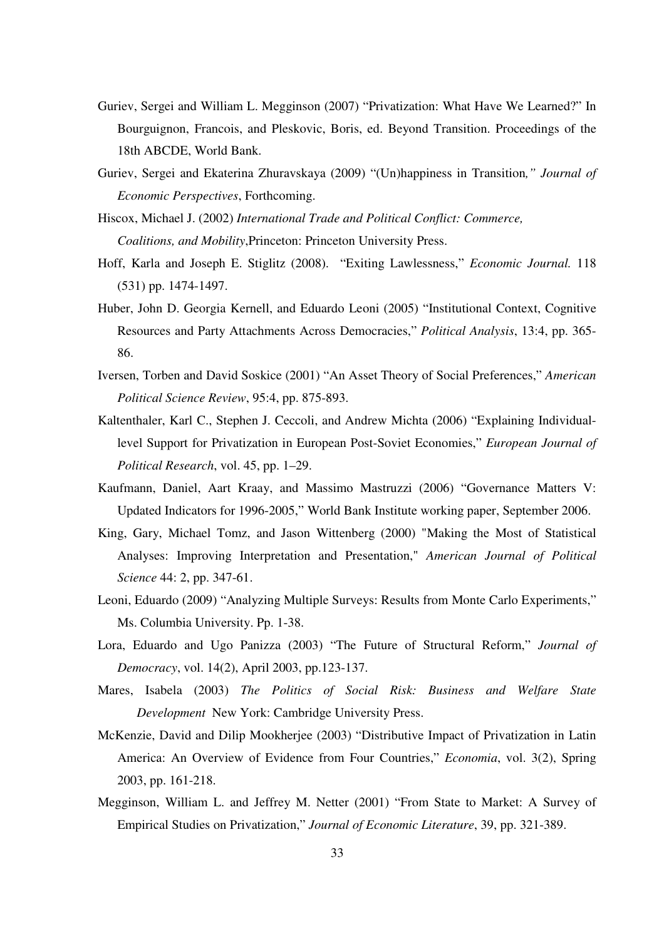- Guriev, Sergei and William L. Megginson (2007) "Privatization: What Have We Learned?" In Bourguignon, Francois, and Pleskovic, Boris, ed. Beyond Transition. Proceedings of the 18th ABCDE, World Bank.
- Guriev, Sergei and Ekaterina Zhuravskaya (2009) "(Un)happiness in Transition*," Journal of Economic Perspectives*, Forthcoming.
- Hiscox, Michael J. (2002) *International Trade and Political Conflict: Commerce, Coalitions, and Mobility*,Princeton: Princeton University Press.
- Hoff, Karla and Joseph E. Stiglitz (2008). " Exiting Lawlessness," *Economic Journal.* 118 (531) pp. 1474-1497.
- Huber, John D. Georgia Kernell, and Eduardo Leoni (2005) "Institutional Context, Cognitive Resources and Party Attachments Across Democracies," *Political Analysis*, 13:4, pp. 365- 86.
- Iversen, Torben and David Soskice (2001) " An Asset Theory of Social Preferences," *American Political Science Review*, 95:4, pp. 875-893.
- Kaltenthaler, Karl C., Stephen J. Ceccoli, and Andrew Michta (2006) "Explaining Individuallevel Support for Privatization in European Post-Soviet Economies," *European Journal of Political Research*, vol. 45, pp. 1–29.
- Kaufmann, Daniel, Aart Kraay, and Massimo Mastruzzi (2006) "Governance Matters V: Updated Indicators for 1996-2005," World Bank Institute working paper, September 2006.
- King, Gary, Michael Tomz, and Jason Wittenberg (2000) "Making the Most of Statistical Analyses: Improving Interpretation and Presentation," *American Journal of Political Science* 44: 2, pp. 347-61.
- Leoni, Eduardo (2009) "Analyzing Multiple Surveys: Results from Monte Carlo Experiments," Ms. Columbia University. Pp. 1-38.
- Lora, Eduardo and Ugo Panizza (2003) " The Future of Structural Reform," *Journal of Democracy*, vol. 14(2), April 2003, pp.123-137.
- Mares, Isabela (2003) *The Politics of Social Risk: Business and Welfare State Development* New York: Cambridge University Press.
- McKenzie, David and Dilip Mookherjee (2003) " Distributive Impact of Privatization in Latin America: An Overview of Evidence from Four Countries," *Economia*, vol. 3(2), Spring 2003, pp. 161-218.
- Megginson, William L. and Jeffrey M. Netter (2001) "From State to Market: A Survey of Empirical Studies on Privatization," *Journal of Economic Literature*, 39, pp. 321-389.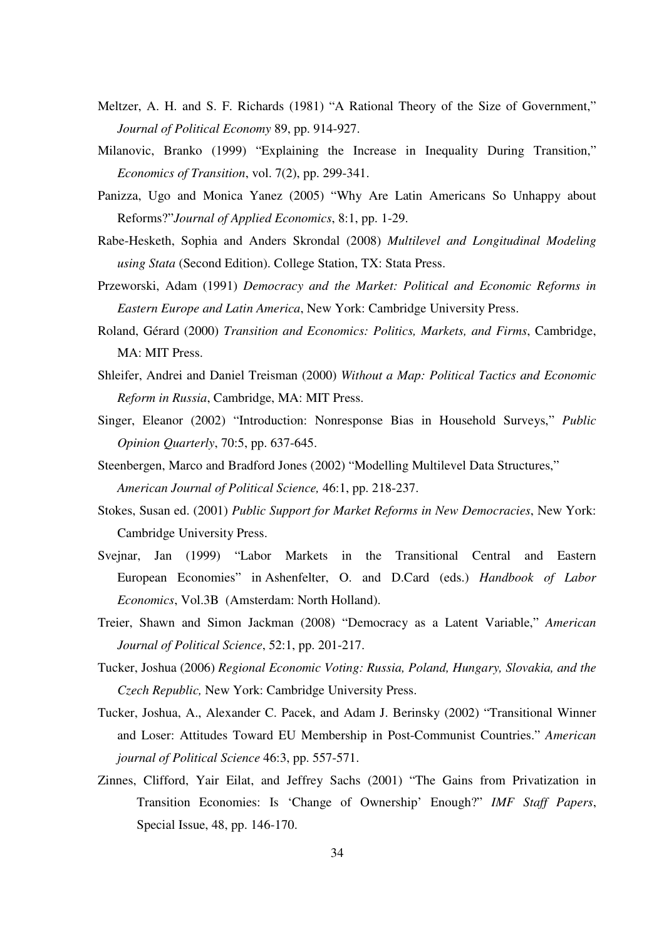- Meltzer, A. H. and S. F. Richards (1981) "A Rational Theory of the Size of Government," *Journal of Political Economy* 89, pp. 914-927.
- Milanovic, Branko (1999) "Explaining the Increase in Inequality During Transition," *Economics of Transition*, vol. 7(2), pp. 299-341.
- Panizza, Ugo and Monica Yanez (2005) " Why Are Latin Americans So Unhappy about Reforms?" *Journal of Applied Economics*, 8:1, pp. 1-29.
- Rabe-Hesketh, Sophia and Anders Skrondal (2008) *Multilevel and Longitudinal Modeling using Stata* (Second Edition). College Station, TX: Stata Press.
- Przeworski, Adam (1991) *Democracy and the Market: Political and Economic Reforms in Eastern Europe and Latin America*, New York: Cambridge University Press.
- Roland, Gérard (2000) *Transition and Economics: Politics, Markets, and Firms*, Cambridge, MA: MIT Press.
- Shleifer, Andrei and Daniel Treisman (2000) *Without a Map: Political Tactics and Economic Reform in Russia*, Cambridge, MA: MIT Press.
- Singer, Eleanor (2002) "Introduction: Nonresponse Bias in Household Surveys," *Public Opinion Quarterly*, 70:5, pp. 637-645.
- Steenbergen, Marco and Bradford Jones (2002) " Modelling Multilevel Data Structures," *American Journal of Political Science,* 46:1, pp. 218-237.
- Stokes, Susan ed. (2001) *Public Support for Market Reforms in New Democracies*, New York: Cambridge University Press.
- Svejnar, Jan (1999) "Labor Markets in the Transitional Central and Eastern European Economies" in Ashenfelter, O. and D.Card (eds.) *Handbook of Labor Economics*, Vol.3B (Amsterdam: North Holland).
- Treier, Shawn and Simon Jackman (2008) " Democracy as a Latent Variable," *American Journal of Political Science*, 52:1, pp. 201-217.
- Tucker, Joshua (2006) *Regional Economic Voting: Russia, Poland, Hungary, Slovakia, and the Czech Republic,* New York: Cambridge University Press.
- Tucker, Joshua, A., Alexander C. Pacek, and Adam J. Berinsky (2002) " Transitional Winner and Loser: Attitudes Toward EU Membership in Post-Communist Countries." *American journal of Political Science* 46:3, pp. 557-571.
- Zinnes, Clifford, Yair Eilat, and Jeffrey Sachs (2001) "The Gains from Privatization in Transition Economies: Is 'Change of Ownership' Enough?" *IMF Staff Papers*, Special Issue, 48, pp. 146-170.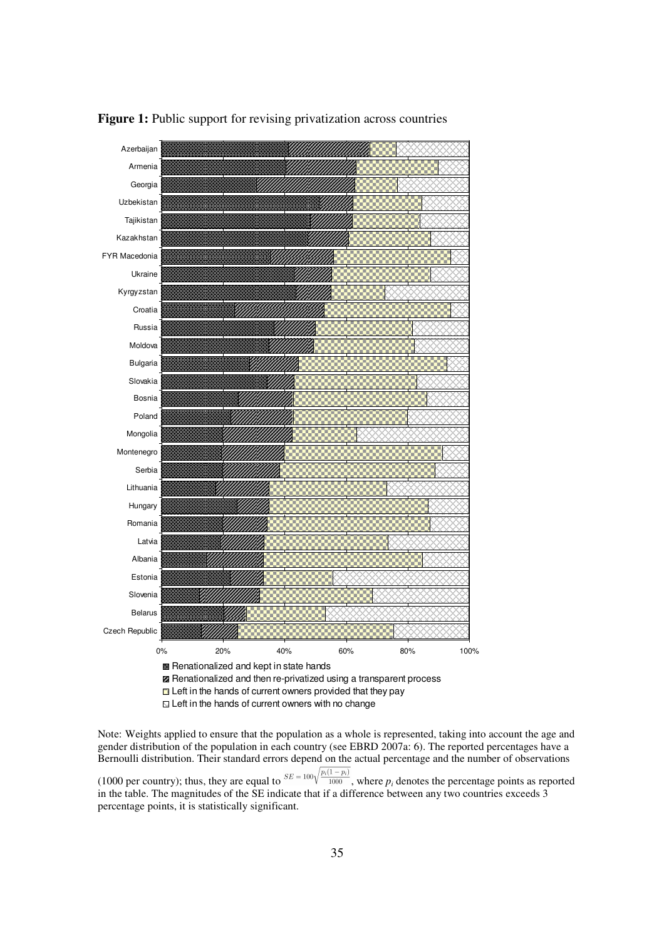

**Figure 1:** Public support for revising privatization across countries

Note: Weights applied to ensure that the population as a whole is represented, taking into account the age and gender distribution of the population in each country (see EBRD 2007a: 6). The reported percentages have a Bernoulli distribution. Their standard errors depend on the actual percentage and the number of observations (1000 per country); thus, they are equal to  ${}^{SE = 100\sqrt{\frac{p_i(1-p_i)}{1000}}}$ , where  $p_i$  denotes the percentage points as reported

in the table. The magnitudes of the SE indicate that if a difference between any two countries exceeds 3 percentage points, it is statistically significant.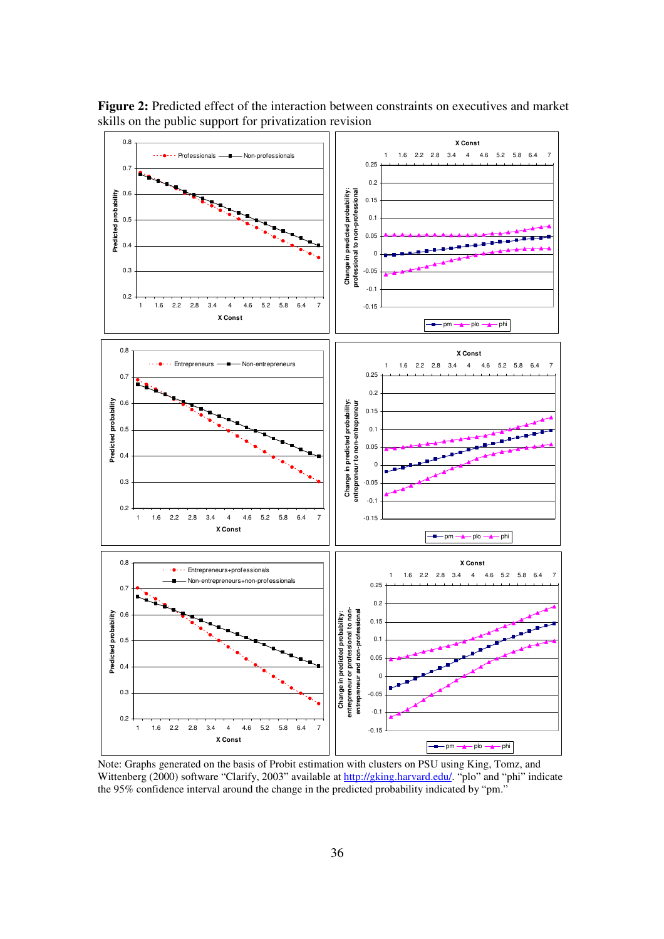![](_page_35_Figure_0.jpeg)

**Figure 2:** Predicted effect of the interaction between constraints on executives and market skills on the public support for privatization revision

Note: Graphs generated on the basis of Probit estimation with clusters on PSU using King, Tomz, and Wittenberg (2000) software "Clarify, 2003" available at http://gking.harvard.edu/. "plo" and "phi" indicate the 95% confidence interval around the change in the predicted probability indicated by "pm."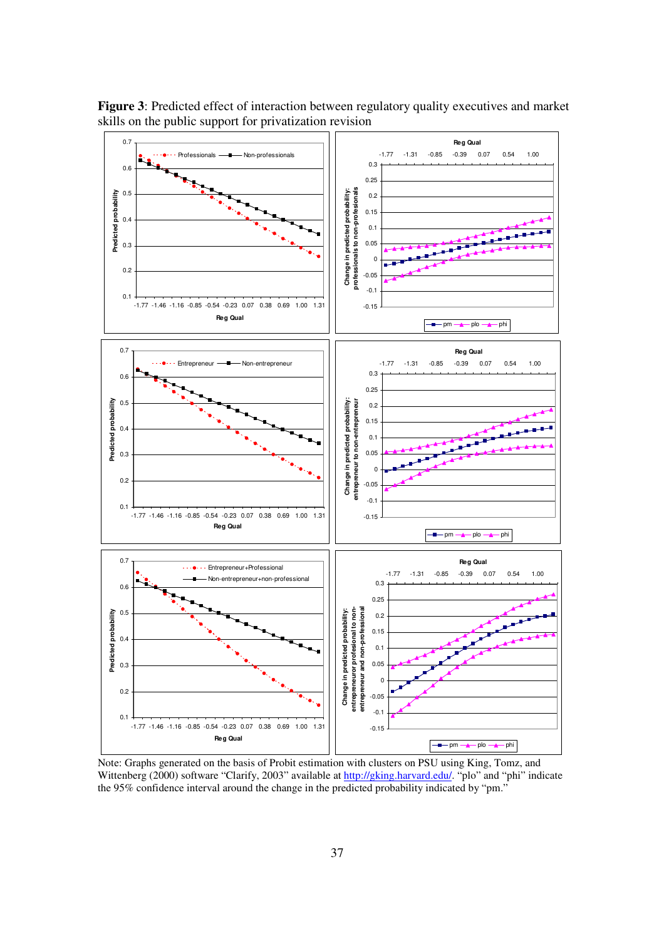![](_page_36_Figure_0.jpeg)

**Figure 3**: Predicted effect of interaction between regulatory quality executives and market skills on the public support for privatization revision

Note: Graphs generated on the basis of Probit estimation with clusters on PSU using King, Tomz, and Wittenberg (2000) software "Clarify, 2003" available at http://gking.harvard.edu/. "plo" and "phi" indicate the 95% confidence interval around the change in the predicted probability indicated by "pm."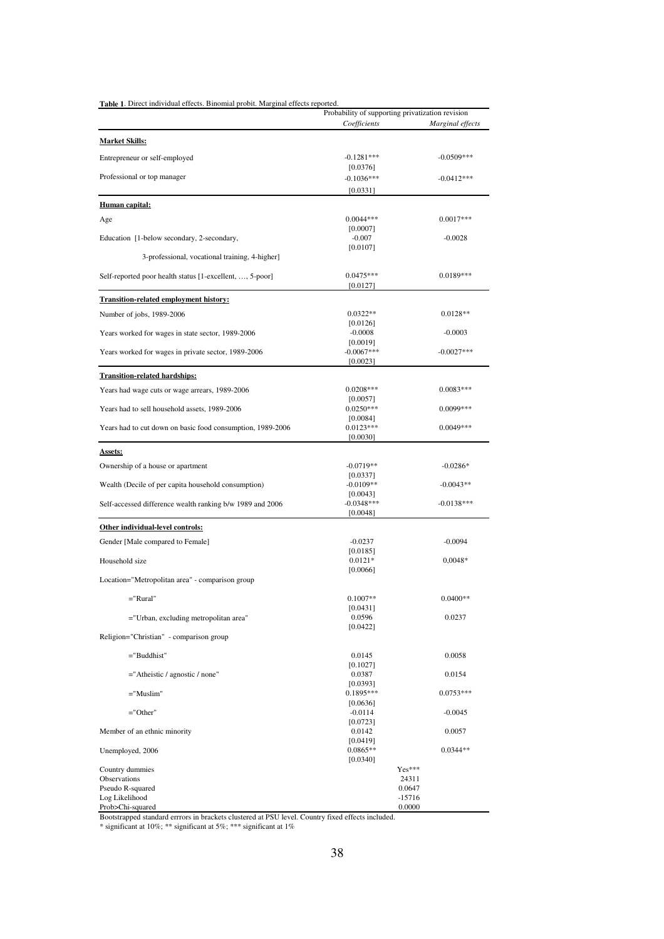| Table 1. Direct individual effects. Binomial probit. Marginal effects reported. | Probability of supporting privatization revision |                  |
|---------------------------------------------------------------------------------|--------------------------------------------------|------------------|
|                                                                                 | Coefficients                                     | Marginal effects |
| <u> Market Skills:</u>                                                          |                                                  |                  |
| Entrepreneur or self-employed                                                   | $-0.1281***$                                     | $-0.0509***$     |
|                                                                                 | [0.0376]                                         |                  |
| Professional or top manager                                                     | $-0.1036***$                                     | $-0.0412***$     |
|                                                                                 | [0.0331]                                         |                  |
| <b>Human capital:</b>                                                           |                                                  |                  |
| Age                                                                             | $0.0044***$<br>[0.0007]                          | $0.0017***$      |
| Education [1-below secondary, 2-secondary,                                      | $-0.007$                                         | $-0.0028$        |
| 3-professional, vocational training, 4-higher]                                  | [0.0107]                                         |                  |
|                                                                                 | $0.0475***$                                      | $0.0189***$      |
| Self-reported poor health status [1-excellent, , 5-poor]                        | [0.0127]                                         |                  |
| <b>Transition-related employment history:</b>                                   |                                                  |                  |
| Number of jobs, 1989-2006                                                       | $0.0322**$                                       | $0.0128**$       |
|                                                                                 | [0.0126]<br>$-0.0008$                            | $-0.0003$        |
| Years worked for wages in state sector, 1989-2006                               | [0.0019]                                         |                  |
| Years worked for wages in private sector, 1989-2006                             | $-0.0067***$                                     | $-0.0027***$     |
|                                                                                 | [0.0023]                                         |                  |
| <b>Transition-related hardships:</b>                                            |                                                  |                  |
| Years had wage cuts or wage arrears, 1989-2006                                  | $0.0208***$                                      | $0.0083***$      |
| Years had to sell household assets, 1989-2006                                   | [0.0057]<br>$0.0250***$                          | $0.0099***$      |
|                                                                                 | [0.0084]                                         |                  |
| Years had to cut down on basic food consumption, 1989-2006                      | $0.0123***$                                      | $0.0049***$      |
|                                                                                 | [0.0030]                                         |                  |
| <b>Assets:</b>                                                                  |                                                  |                  |
| Ownership of a house or apartment                                               | $-0.0719**$<br>[0.0337]                          | $-0.0286*$       |
| Wealth (Decile of per capita household consumption)                             | $-0.0109**$                                      | $-0.0043**$      |
|                                                                                 | [0.0043]                                         |                  |
| Self-accessed difference wealth ranking b/w 1989 and 2006                       | $-0.0348***$<br>[0.0048]                         | $-0.0138***$     |
| Other individual-level controls:                                                |                                                  |                  |
| Gender [Male compared to Female]                                                | $-0.0237$                                        | $-0.0094$        |
|                                                                                 | [0.0185]                                         |                  |
| Household size                                                                  | $0.0121*$<br>[0.0066]                            | $0,0048*$        |
| Location="Metropolitan area" - comparison group                                 |                                                  |                  |
|                                                                                 | $0.1007**$                                       | $0.0400**$       |
| ="Rural"                                                                        | [0.0431]                                         |                  |
| ="Urban, excluding metropolitan area"                                           | 0.0596                                           | 0.0237           |
| Religion="Christian" - comparison group                                         | [0.0422]                                         |                  |
|                                                                                 |                                                  |                  |
| $="math>Buddhist"$                                                              | 0.0145<br>[0.1027]                               | 0.0058           |
| $=$ "Atheistic / agnostic / none"                                               | 0.0387<br>[0.0393]                               | 0.0154           |
| ="Muslim"                                                                       | 0.1895***                                        | $0.0753***$      |
|                                                                                 | [0.0636]<br>$-0.0114$                            |                  |
| ="Other"                                                                        | [0.0723]                                         | $-0.0045$        |
| Member of an ethnic minority                                                    | 0.0142                                           | 0.0057           |
|                                                                                 | [0.0419]                                         | $0.0344**$       |
| Unemployed, 2006                                                                | $0.0865**$<br>[0.0340]                           |                  |
| Country dummies                                                                 |                                                  | Yes***           |
| Observations<br>Pseudo R-squared                                                |                                                  | 24311<br>0.0647  |
| Log Likelihood                                                                  |                                                  | $-15716$         |
| Prob>Chi-squared                                                                |                                                  | 0.0000           |

Bootstrapped standard errrors in brackets clustered at PSU level. Country fixed effects included.

\* significant at 10%; \*\* significant at 5%; \*\*\* significant at 1%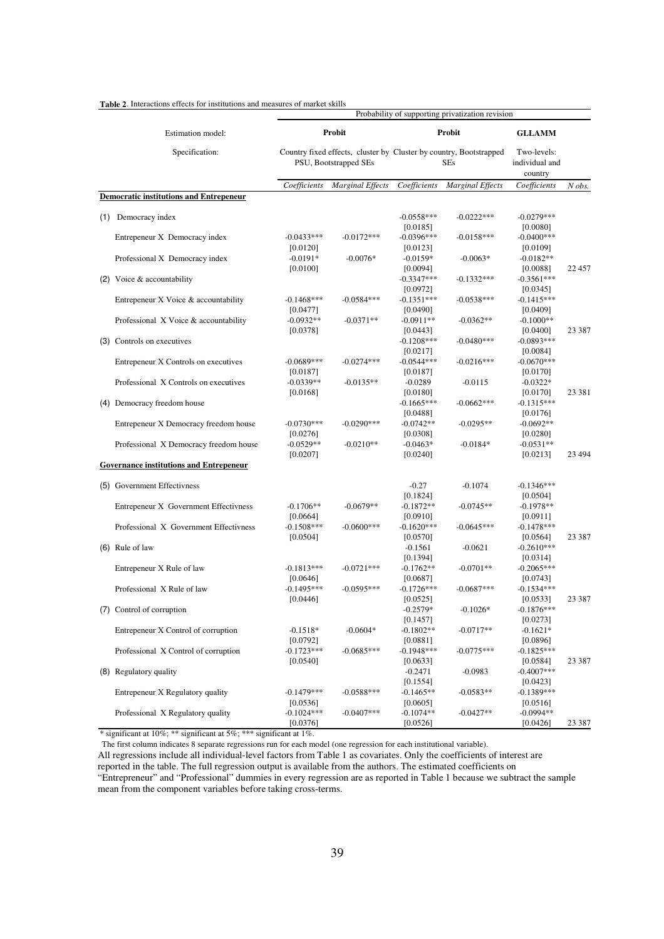|                                     |                                                | Probability of supporting privatization revision |                         |                                                                                  |                         |                                          |         |
|-------------------------------------|------------------------------------------------|--------------------------------------------------|-------------------------|----------------------------------------------------------------------------------|-------------------------|------------------------------------------|---------|
| Estimation model:<br>Specification: |                                                |                                                  | Probit                  |                                                                                  | Probit                  | <b>GLLAMM</b>                            |         |
|                                     |                                                | PSU, Bootstrapped SEs                            |                         | Country fixed effects, cluster by Cluster by country, Bootstrapped<br><b>SEs</b> |                         | Two-levels:<br>individual and<br>country |         |
|                                     |                                                | Coefficients                                     | <b>Marginal Effects</b> | Coefficients                                                                     | <b>Marginal Effects</b> | Coefficients                             | N obs.  |
|                                     | <b>Democratic institutions and Entrepeneur</b> |                                                  |                         |                                                                                  |                         |                                          |         |
|                                     | (1) Democracy index                            |                                                  |                         | $-0.0558***$<br>[0.0185]                                                         | $-0.0222***$            | $-0.0279***$<br>[0.0080]                 |         |
|                                     | Entrepeneur X Democracy index                  | $-0.0433***$<br>[0.0120]                         | $-0.0172***$            | $-0.0396***$<br>[0.0123]                                                         | $-0.0158***$            | $-0.0400***$<br>[0.0109]                 |         |
|                                     | Professional X Democracy index                 | $-0.0191*$<br>[0.0100]                           | $-0.0076*$              | $-0.0159*$<br>[0.0094]                                                           | $-0.0063*$              | $-0.0182**$<br>[0.0088]                  | 22 457  |
|                                     | $(2)$ Voice & accountability                   |                                                  |                         | $-0.3347***$<br>[0.0972]                                                         | $-0.1332***$            | $-0.3561***$<br>[0.0345]                 |         |
|                                     | Entrepeneur X Voice & accountability           | $-0.1468***$<br>[0.0477]                         | $-0.0584***$            | $-0.1351***$<br>[0.0490]                                                         | $-0.0538***$            | $-0.1415***$<br>[0.0409]                 |         |
|                                     | Professional X Voice & accountability          | $-0.0932**$<br>[0.0378]                          | $-0.0371**$             | $-0.0911**$<br>[0.0443]                                                          | $-0.0362**$             | $-0.1000**$<br>[0.0400]                  | 23 387  |
|                                     | (3) Controls on executives                     |                                                  |                         | $-0.1208***$<br>[0.0217]                                                         | $-0.0480***$            | $-0.0893***$<br>[0.0084]                 |         |
|                                     | Entrepeneur X Controls on executives           | $-0.0689***$<br>[0.0187]                         | $-0.0274***$            | $-0.0544***$<br>[0.0187]                                                         | $-0.0216***$            | $-0.0670***$<br>[0.0170]                 |         |
|                                     | Professional X Controls on executives          | $-0.0339**$<br>[0.0168]                          | $-0.0135**$             | $-0.0289$<br>[0.0180]                                                            | $-0.0115$               | $-0.0322*$<br>[0.0170]                   | 23 381  |
|                                     | (4) Democracy freedom house                    |                                                  |                         | $-0.1665***$<br>[0.0488]                                                         | $-0.0662***$            | $-0.1315***$<br>[0.0176]                 |         |
|                                     | Entrepeneur X Democracy freedom house          | $-0.0730***$<br>[0.0276]                         | $-0.0290***$            | $-0.0742**$<br>[0.0308]                                                          | $-0.0295**$             | $-0.0692**$<br>[0.0280]                  |         |
|                                     | Professional X Democracy freedom house         | $-0.0529**$<br>[0.0207]                          | $-0.0210**$             | $-0.0463*$<br>[0.0240]                                                           | $-0.0184*$              | $-0.0531**$<br>[0.0213]                  | 23 4 94 |
|                                     | Governance institutions and Entrepeneur        |                                                  |                         |                                                                                  |                         |                                          |         |
|                                     | (5) Government Effectivness                    |                                                  |                         | $-0.27$                                                                          | $-0.1074$               | $-0.1346***$                             |         |
|                                     | Entrepeneur X Government Effectivness          | $-0.1706**$<br>[0.0664]                          | $-0.0679**$             | [0.1824]<br>$-0.1872**$<br>[0.0910]                                              | $-0.0745**$             | [0.0504]<br>$-0.1978**$<br>[0.0911]      |         |
|                                     | Professional X Government Effectivness         | $-0.1508***$<br>[0.0504]                         | $-0.0600***$            | $-0.1620***$<br>[0.0570]                                                         | $-0.0645***$            | $-0.1478***$<br>[0.0564]                 | 23 387  |
|                                     | $(6)$ Rule of law                              |                                                  |                         | $-0.1561$<br>[0.1394]                                                            | $-0.0621$               | $-0.2610***$<br>[0.0314]                 |         |
|                                     | Entrepeneur X Rule of law                      | $-0.1813***$<br>[0.0646]                         | $-0.0721***$            | $-0.1762**$<br>[0.0687]                                                          | $-0.0701**$             | $-0.2065***$<br>[0.0743]                 |         |
|                                     | Professional X Rule of law                     | $-0.1495***$<br>[0.0446]                         | $-0.0595***$            | $-0.1726***$<br>[0.0525]                                                         | $-0.0687***$            | $-0.1534***$<br>[0.0533]                 | 23 387  |
|                                     | (7) Control of corruption                      |                                                  |                         | $-0.2579*$<br>[0.1457]                                                           | $-0.1026*$              | $-0.1876***$<br>[0.0273]                 |         |
|                                     | Entrepeneur X Control of corruption            | $-0.1518*$<br>[0.0792]                           | $-0.0604*$              | $-0.1802**$<br>[0.0881]                                                          | $-0.0717**$             | $-0.1621*$<br>[0.0896]                   |         |
|                                     | Professional X Control of corruption           | $-0.1723***$<br>[0.0540]                         | $-0.0685***$            | $-0.1948***$<br>[0.0633]                                                         | $-0.0775***$            | $-0.1825***$<br>[0.0584]                 | 23 387  |
|                                     | (8) Regulatory quality                         |                                                  |                         | $-0.2471$<br>[0.1554]                                                            | $-0.0983$               | $-0.4007***$<br>[0.0423]                 |         |
|                                     | Entrepeneur X Regulatory quality               | $-0.1479***$<br>[0.0536]                         | $-0.0588***$            | $-0.1465**$<br>[0.0605]                                                          | $-0.0583**$             | $-0.1389***$<br>[0.0516]                 |         |
|                                     | Professional X Regulatory quality              | $-0.1024***$<br>[0.0376]                         | $-0.0407***$            | $-0.1074**$<br>[0.0526]                                                          | $-0.0427**$             | $-0.0994**$<br>[0.0426]                  | 23 387  |

**Table 2**. Interactions effects for institutions and measures of market skills

\* significant at 10%; \*\* significant at 5%; \*\*\* significant at 1%.

The first column indicates 8 separate regressions run for each model (one regression for each institutional variable).

All regressions include all individual-level factors from Table 1 as covariates. Only the coefficients of interest are reported in the table. The full regression output is available from the authors. The estimated coefficients on

" Entrepreneur" and " Professional" dummies in every regression are as reported in Table 1 because we subtract the sample mean from the component variables before taking cross-terms.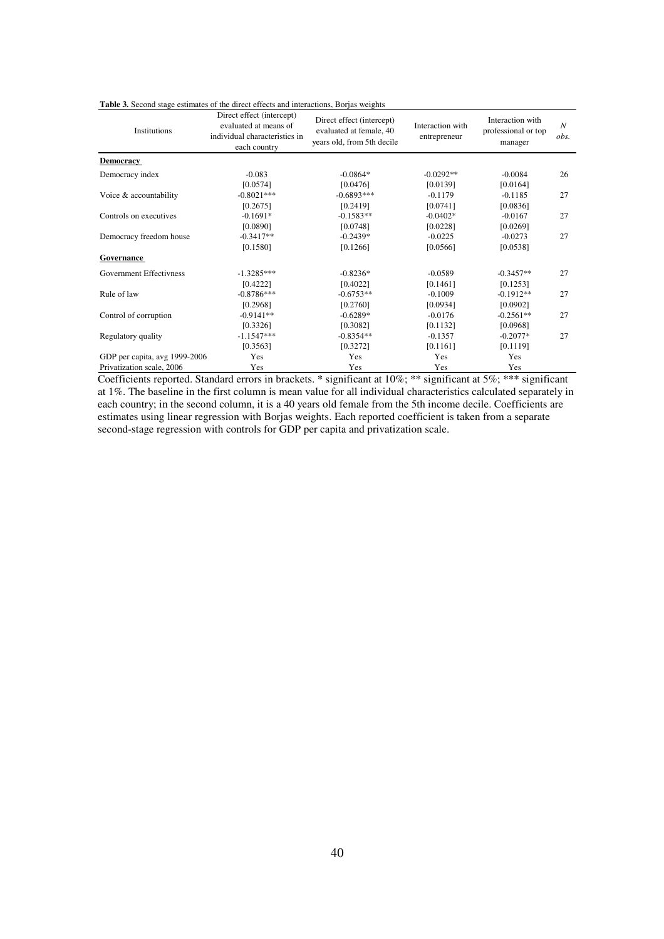| Table 3. Second stage estimates of the direct effects and interactions, Borjas weights |  |
|----------------------------------------------------------------------------------------|--|
|----------------------------------------------------------------------------------------|--|

| Institutions                   | Direct effect (intercept)<br>evaluated at means of<br>individual characteristics in<br>each country | Direct effect (intercept)<br>evaluated at female, 40<br>years old, from 5th decile | Interaction with<br>entrepreneur | Interaction with<br>professional or top<br>manager | $\boldsymbol{N}$<br>obs. |
|--------------------------------|-----------------------------------------------------------------------------------------------------|------------------------------------------------------------------------------------|----------------------------------|----------------------------------------------------|--------------------------|
| <b>Democracy</b>               |                                                                                                     |                                                                                    |                                  |                                                    |                          |
| Democracy index                | $-0.083$                                                                                            | $-0.0864*$                                                                         | $-0.0292**$                      | $-0.0084$                                          | 26                       |
|                                | [0.0574]                                                                                            | [0.0476]                                                                           | [0.0139]                         | [0.0164]                                           |                          |
| Voice & accountability         | $-0.8021***$                                                                                        | $-0.6893***$                                                                       | $-0.1179$                        | $-0.1185$                                          | 27                       |
|                                | [0.2675]                                                                                            | [0.2419]                                                                           | [0.0741]                         | [0.0836]                                           |                          |
| Controls on executives         | $-0.1691*$                                                                                          | $-0.1583**$                                                                        | $-0.0402*$                       | $-0.0167$                                          | 27                       |
|                                | [0.0890]                                                                                            | [0.0748]                                                                           | [0.0228]                         | [0.0269]                                           |                          |
| Democracy freedom house        | $-0.3417**$                                                                                         | $-0.2439*$                                                                         | $-0.0225$                        | $-0.0273$                                          | 27                       |
|                                | [0.1580]                                                                                            | [0.1266]                                                                           | [0.0566]                         | [0.0538]                                           |                          |
| <b>Governance</b>              |                                                                                                     |                                                                                    |                                  |                                                    |                          |
| <b>Government Effectivness</b> | $-1.3285***$                                                                                        | $-0.8236*$                                                                         | $-0.0589$                        | $-0.3457**$                                        | 27                       |
|                                | [0.4222]                                                                                            | [0.4022]                                                                           | [0.1461]                         | [0.1253]                                           |                          |
| Rule of law                    | $-0.8786***$                                                                                        | $-0.6753**$                                                                        | $-0.1009$                        | $-0.1912**$                                        | 27                       |
|                                | [0.2968]                                                                                            | [0.2760]                                                                           | [0.0934]                         | [0.0902]                                           |                          |
| Control of corruption          | $-0.9141**$                                                                                         | $-0.6289*$                                                                         | $-0.0176$                        | $-0.2561**$                                        | 27                       |
|                                | [0.3326]                                                                                            | [0.3082]                                                                           | [0.1132]                         | [0.0968]                                           |                          |
| Regulatory quality             | $-1.1547***$                                                                                        | $-0.8354**$                                                                        | $-0.1357$                        | $-0.2077*$                                         | 27                       |
|                                | [0.3563]                                                                                            | [0.3272]                                                                           | [0.1161]                         | [0.1119]                                           |                          |
| GDP per capita, avg 1999-2006  | Yes                                                                                                 | Yes                                                                                | Yes                              | Yes                                                |                          |
| Privatization scale, 2006      | Yes                                                                                                 | Yes                                                                                | Yes                              | Yes                                                |                          |

Coefficients reported. Standard errors in brackets. \* significant at 10%; \*\* significant at 5%; \*\*\* significant at 1%. The baseline in the first column is mean value for all individual characteristics calculated separately in each country; in the second column, it is a 40 years old female from the 5th income decile. Coefficients are estimates using linear regression with Borjas weights. Each reported coefficient is taken from a separate second-stage regression with controls for GDP per capita and privatization scale.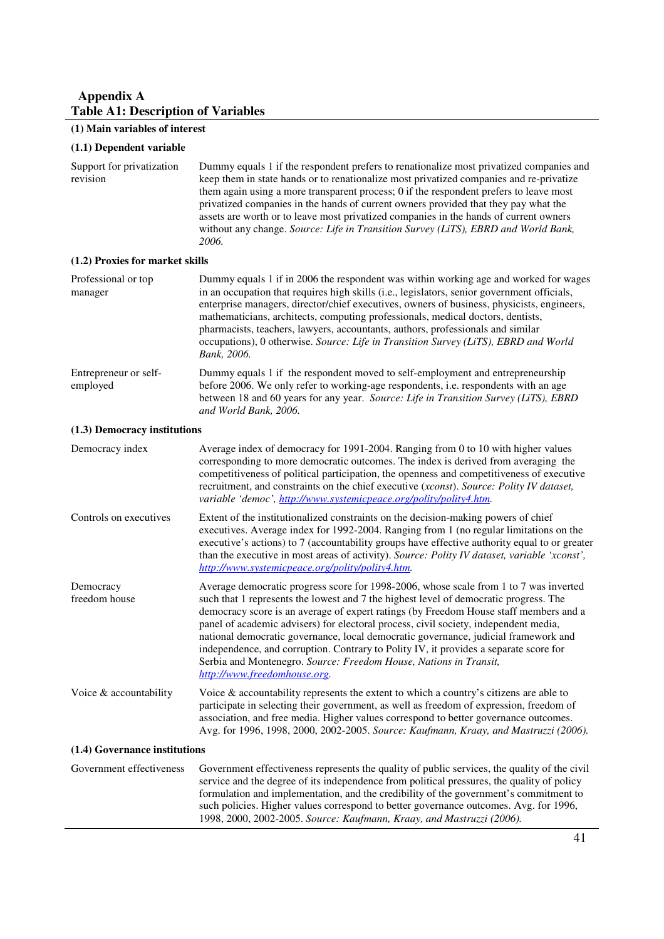## **Appendix A Table A1: Description of Variables**

# **(1) Main variables of interest**

## **(1.1) Dependent variable**

| Support for privatization<br>revision | Dummy equals 1 if the respondent prefers to renationalize most privatized companies and<br>keep them in state hands or to renationalize most privatized companies and re-privatize<br>them again using a more transparent process; 0 if the respondent prefers to leave most<br>privatized companies in the hands of current owners provided that they pay what the<br>assets are worth or to leave most privatized companies in the hands of current owners<br>without any change. Source: Life in Transition Survey (LiTS), EBRD and World Bank,<br>2006.                                                                                          |
|---------------------------------------|------------------------------------------------------------------------------------------------------------------------------------------------------------------------------------------------------------------------------------------------------------------------------------------------------------------------------------------------------------------------------------------------------------------------------------------------------------------------------------------------------------------------------------------------------------------------------------------------------------------------------------------------------|
| (1.2) Proxies for market skills       |                                                                                                                                                                                                                                                                                                                                                                                                                                                                                                                                                                                                                                                      |
| Professional or top<br>manager        | Dummy equals 1 if in 2006 the respondent was within working age and worked for wages<br>in an occupation that requires high skills (i.e., legislators, senior government officials,<br>enterprise managers, director/chief executives, owners of business, physicists, engineers,<br>mathematicians, architects, computing professionals, medical doctors, dentists,<br>pharmacists, teachers, lawyers, accountants, authors, professionals and similar<br>occupations), 0 otherwise. Source: Life in Transition Survey (LiTS), EBRD and World<br>Bank, 2006.                                                                                        |
| Entrepreneur or self-<br>employed     | Dummy equals 1 if the respondent moved to self-employment and entrepreneurship<br>before 2006. We only refer to working-age respondents, i.e. respondents with an age<br>between 18 and 60 years for any year. Source: Life in Transition Survey (LiTS), EBRD<br>and World Bank, 2006.                                                                                                                                                                                                                                                                                                                                                               |
| (1.3) Democracy institutions          |                                                                                                                                                                                                                                                                                                                                                                                                                                                                                                                                                                                                                                                      |
| Democracy index                       | Average index of democracy for 1991-2004. Ranging from 0 to 10 with higher values<br>corresponding to more democratic outcomes. The index is derived from averaging the<br>competitiveness of political participation, the openness and competitiveness of executive<br>recruitment, and constraints on the chief executive (xconst). Source: Polity IV dataset,<br>variable 'democ', http://www.systemicpeace.org/polity/polity4.htm.                                                                                                                                                                                                               |
| Controls on executives                | Extent of the institutionalized constraints on the decision-making powers of chief<br>executives. Average index for 1992-2004. Ranging from 1 (no regular limitations on the<br>executive's actions) to 7 (accountability groups have effective authority equal to or greater<br>than the executive in most areas of activity). Source: Polity IV dataset, variable 'xconst',<br>http://www.systemicpeace.org/polity/polity4.htm.                                                                                                                                                                                                                    |
| Democracy<br>freedom house            | Average democratic progress score for 1998-2006, whose scale from 1 to 7 was inverted<br>such that 1 represents the lowest and 7 the highest level of democratic progress. The<br>democracy score is an average of expert ratings (by Freedom House staff members and a<br>panel of academic advisers) for electoral process, civil society, independent media,<br>national democratic governance, local democratic governance, judicial framework and<br>independence, and corruption. Contrary to Polity IV, it provides a separate score for<br>Serbia and Montenegro. Source: Freedom House, Nations in Transit,<br>http://www.freedomhouse.org. |
| Voice & accountability                | Voice & accountability represents the extent to which a country's citizens are able to<br>participate in selecting their government, as well as freedom of expression, freedom of<br>association, and free media. Higher values correspond to better governance outcomes.<br>Avg. for 1996, 1998, 2000, 2002-2005. Source: Kaufmann, Kraay, and Mastruzzi (2006).                                                                                                                                                                                                                                                                                    |
| (1.4) Governance institutions         |                                                                                                                                                                                                                                                                                                                                                                                                                                                                                                                                                                                                                                                      |
| Government effectiveness              | Government effectiveness represents the quality of public services, the quality of the civil<br>service and the degree of its independence from political pressures, the quality of policy<br>formulation and implementation, and the credibility of the government's commitment to<br>such policies. Higher values correspond to better governance outcomes. Avg. for 1996,<br>1998, 2000, 2002-2005. Source: Kaufmann, Kraay, and Mastruzzi (2006).                                                                                                                                                                                                |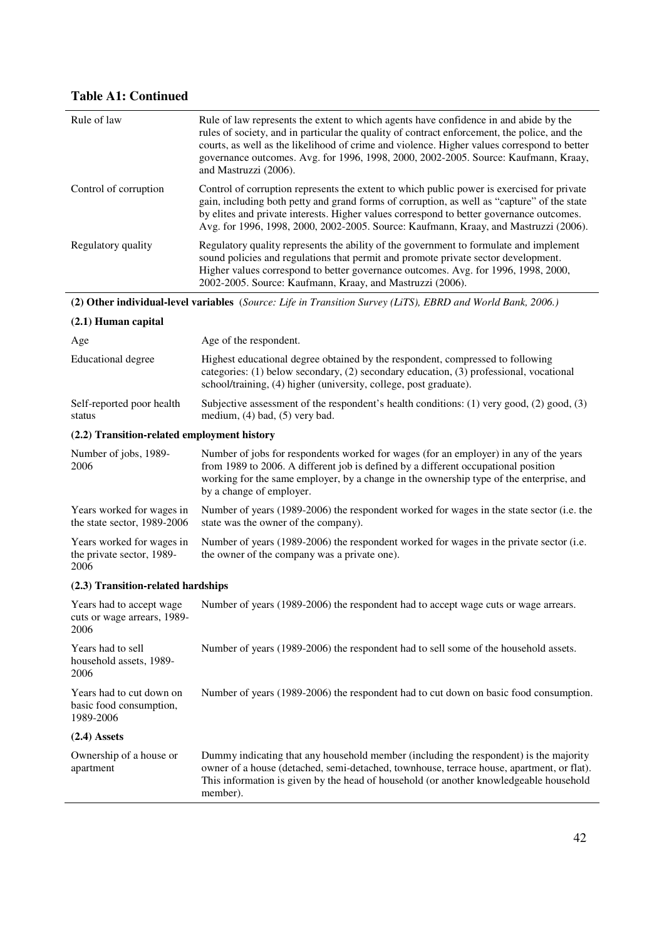# **Table A1: Continued**

| Rule of law                                                      | Rule of law represents the extent to which agents have confidence in and abide by the<br>rules of society, and in particular the quality of contract enforcement, the police, and the<br>courts, as well as the likelihood of crime and violence. Higher values correspond to better<br>governance outcomes. Avg. for 1996, 1998, 2000, 2002-2005. Source: Kaufmann, Kraay,<br>and Mastruzzi (2006). |
|------------------------------------------------------------------|------------------------------------------------------------------------------------------------------------------------------------------------------------------------------------------------------------------------------------------------------------------------------------------------------------------------------------------------------------------------------------------------------|
| Control of corruption                                            | Control of corruption represents the extent to which public power is exercised for private<br>gain, including both petty and grand forms of corruption, as well as "capture" of the state<br>by elites and private interests. Higher values correspond to better governance outcomes.<br>Avg. for 1996, 1998, 2000, 2002-2005. Source: Kaufmann, Kraay, and Mastruzzi (2006).                        |
| Regulatory quality                                               | Regulatory quality represents the ability of the government to formulate and implement<br>sound policies and regulations that permit and promote private sector development.<br>Higher values correspond to better governance outcomes. Avg. for 1996, 1998, 2000,<br>2002-2005. Source: Kaufmann, Kraay, and Mastruzzi (2006).                                                                      |
|                                                                  | (2) Other individual-level variables (Source: Life in Transition Survey (LiTS), EBRD and World Bank, 2006.)                                                                                                                                                                                                                                                                                          |
| $(2.1)$ Human capital                                            |                                                                                                                                                                                                                                                                                                                                                                                                      |
| Age                                                              | Age of the respondent.                                                                                                                                                                                                                                                                                                                                                                               |
| <b>Educational</b> degree                                        | Highest educational degree obtained by the respondent, compressed to following<br>categories: (1) below secondary, (2) secondary education, (3) professional, vocational<br>school/training, (4) higher (university, college, post graduate).                                                                                                                                                        |
| Self-reported poor health<br>status                              | Subjective assessment of the respondent's health conditions: $(1)$ very good, $(2)$ good, $(3)$<br>medium, $(4)$ bad, $(5)$ very bad.                                                                                                                                                                                                                                                                |
| (2.2) Transition-related employment history                      |                                                                                                                                                                                                                                                                                                                                                                                                      |
| Number of jobs, 1989-<br>2006                                    | Number of jobs for respondents worked for wages (for an employer) in any of the years<br>from 1989 to 2006. A different job is defined by a different occupational position<br>working for the same employer, by a change in the ownership type of the enterprise, and<br>by a change of employer.                                                                                                   |
| Years worked for wages in<br>the state sector, 1989-2006         | Number of years (1989-2006) the respondent worked for wages in the state sector (i.e. the<br>state was the owner of the company).                                                                                                                                                                                                                                                                    |
| Years worked for wages in<br>the private sector, 1989-<br>2006   | Number of years (1989-2006) the respondent worked for wages in the private sector (i.e.<br>the owner of the company was a private one).                                                                                                                                                                                                                                                              |
| (2.3) Transition-related hardships                               |                                                                                                                                                                                                                                                                                                                                                                                                      |
| Years had to accept wage<br>cuts or wage arrears, 1989-<br>2006  | Number of years (1989-2006) the respondent had to accept wage cuts or wage arrears.                                                                                                                                                                                                                                                                                                                  |
| Years had to sell<br>household assets, 1989-<br>2006             | Number of years (1989-2006) the respondent had to sell some of the household assets.                                                                                                                                                                                                                                                                                                                 |
| Years had to cut down on<br>basic food consumption,<br>1989-2006 | Number of years (1989-2006) the respondent had to cut down on basic food consumption.                                                                                                                                                                                                                                                                                                                |
| $(2.4)$ Assets                                                   |                                                                                                                                                                                                                                                                                                                                                                                                      |
| Ownership of a house or<br>apartment                             | Dummy indicating that any household member (including the respondent) is the majority<br>owner of a house (detached, semi-detached, townhouse, terrace house, apartment, or flat).<br>This information is given by the head of household (or another knowledgeable household<br>member).                                                                                                             |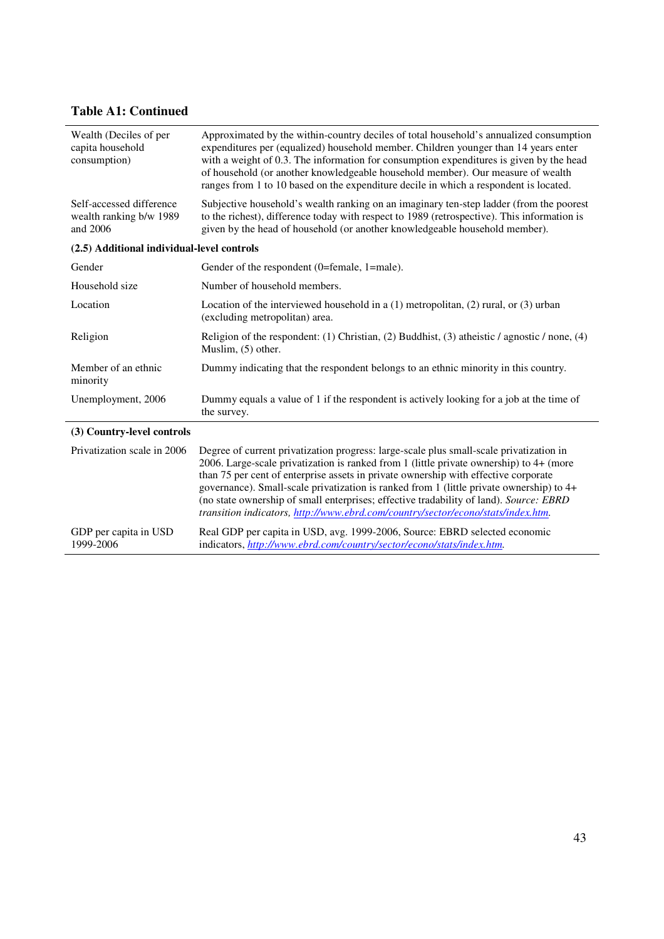# **Table A1: Continued**

| Wealth (Deciles of per<br>capita household<br>consumption)      | Approximated by the within-country deciles of total household's annualized consumption<br>expenditures per (equalized) household member. Children younger than 14 years enter<br>with a weight of 0.3. The information for consumption expenditures is given by the head<br>of household (or another knowledgeable household member). Our measure of wealth<br>ranges from 1 to 10 based on the expenditure decile in which a respondent is located.                                                                                                |
|-----------------------------------------------------------------|-----------------------------------------------------------------------------------------------------------------------------------------------------------------------------------------------------------------------------------------------------------------------------------------------------------------------------------------------------------------------------------------------------------------------------------------------------------------------------------------------------------------------------------------------------|
| Self-accessed difference<br>wealth ranking b/w 1989<br>and 2006 | Subjective household's wealth ranking on an imaginary ten-step ladder (from the poorest<br>to the richest), difference today with respect to 1989 (retrospective). This information is<br>given by the head of household (or another knowledgeable household member).                                                                                                                                                                                                                                                                               |
| (2.5) Additional individual-level controls                      |                                                                                                                                                                                                                                                                                                                                                                                                                                                                                                                                                     |
| Gender                                                          | Gender of the respondent (0=female, 1=male).                                                                                                                                                                                                                                                                                                                                                                                                                                                                                                        |
| Household size                                                  | Number of household members.                                                                                                                                                                                                                                                                                                                                                                                                                                                                                                                        |
| Location                                                        | Location of the interviewed household in a $(1)$ metropolitan, $(2)$ rural, or $(3)$ urban<br>(excluding metropolitan) area.                                                                                                                                                                                                                                                                                                                                                                                                                        |
| Religion                                                        | Religion of the respondent: (1) Christian, (2) Buddhist, (3) atheistic / agnostic / none, (4)<br>Muslim, (5) other.                                                                                                                                                                                                                                                                                                                                                                                                                                 |
| Member of an ethnic<br>minority                                 | Dummy indicating that the respondent belongs to an ethnic minority in this country.                                                                                                                                                                                                                                                                                                                                                                                                                                                                 |
| Unemployment, 2006                                              | Dummy equals a value of 1 if the respondent is actively looking for a job at the time of<br>the survey.                                                                                                                                                                                                                                                                                                                                                                                                                                             |
| (3) Country-level controls                                      |                                                                                                                                                                                                                                                                                                                                                                                                                                                                                                                                                     |
| Privatization scale in 2006                                     | Degree of current privatization progress: large-scale plus small-scale privatization in<br>2006. Large-scale privatization is ranked from 1 (little private ownership) to 4+ (more<br>than 75 per cent of enterprise assets in private ownership with effective corporate<br>governance). Small-scale privatization is ranked from 1 (little private ownership) to 4+<br>(no state ownership of small enterprises; effective tradability of land). Source: EBRD<br>transition indicators, http://www.ebrd.com/country/sector/econo/stats/index.htm. |
| GDP per capita in USD<br>1999-2006                              | Real GDP per capita in USD, avg. 1999-2006, Source: EBRD selected economic<br>indicators, http://www.ebrd.com/country/sector/econo/stats/index.htm.                                                                                                                                                                                                                                                                                                                                                                                                 |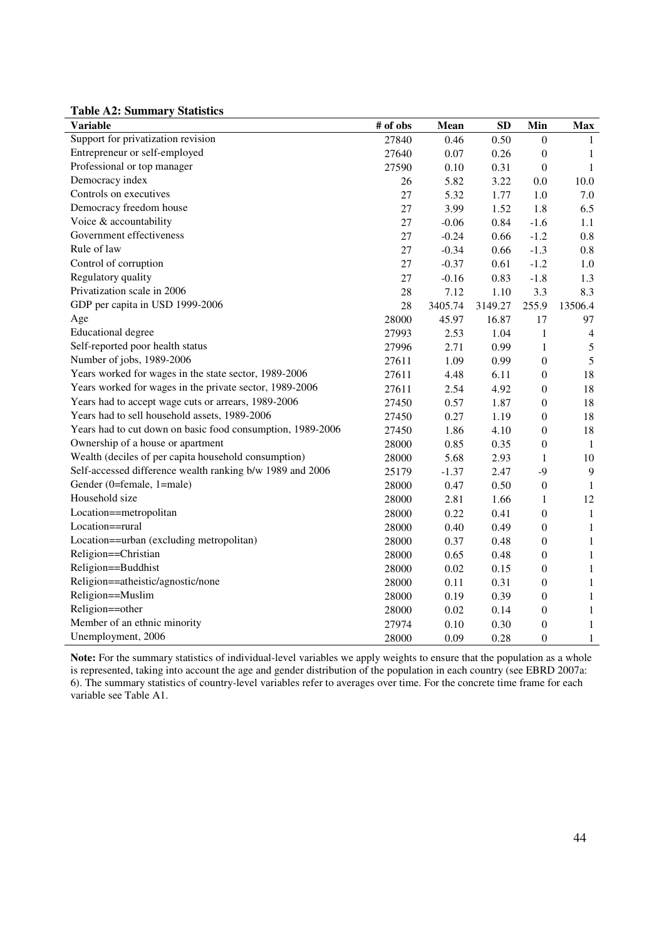**Table A2: Summary Statistics**

| <b>Variable</b>                                            | # of obs | Mean    | SD      | Min              | <b>Max</b>     |
|------------------------------------------------------------|----------|---------|---------|------------------|----------------|
| Support for privatization revision                         | 27840    | 0.46    | 0.50    | $\theta$         | 1              |
| Entrepreneur or self-employed                              | 27640    | 0.07    | 0.26    | $\boldsymbol{0}$ | $\mathbf{1}$   |
| Professional or top manager                                | 27590    | 0.10    | 0.31    | $\boldsymbol{0}$ | $\mathbf{1}$   |
| Democracy index                                            | 26       | 5.82    | 3.22    | 0.0              | 10.0           |
| Controls on executives                                     | 27       | 5.32    | 1.77    | 1.0              | 7.0            |
| Democracy freedom house                                    | 27       | 3.99    | 1.52    | 1.8              | 6.5            |
| Voice & accountability                                     | 27       | $-0.06$ | 0.84    | $-1.6$           | 1.1            |
| Government effectiveness                                   | 27       | $-0.24$ | 0.66    | $-1.2$           | 0.8            |
| Rule of law                                                | 27       | $-0.34$ | 0.66    | $-1.3$           | 0.8            |
| Control of corruption                                      | 27       | $-0.37$ | 0.61    | $-1.2$           | 1.0            |
| Regulatory quality                                         | 27       | $-0.16$ | 0.83    | $-1.8$           | 1.3            |
| Privatization scale in 2006                                | 28       | 7.12    | 1.10    | 3.3              | 8.3            |
| GDP per capita in USD 1999-2006                            | 28       | 3405.74 | 3149.27 | 255.9            | 13506.4        |
| Age                                                        | 28000    | 45.97   | 16.87   | 17               | 97             |
| Educational degree                                         | 27993    | 2.53    | 1.04    | $\mathbf{1}$     | $\overline{4}$ |
| Self-reported poor health status                           | 27996    | 2.71    | 0.99    | $\mathbf{1}$     | 5              |
| Number of jobs, 1989-2006                                  | 27611    | 1.09    | 0.99    | $\overline{0}$   | $\sqrt{5}$     |
| Years worked for wages in the state sector, 1989-2006      | 27611    | 4.48    | 6.11    | $\boldsymbol{0}$ | 18             |
| Years worked for wages in the private sector, 1989-2006    | 27611    | 2.54    | 4.92    | $\boldsymbol{0}$ | 18             |
| Years had to accept wage cuts or arrears, 1989-2006        | 27450    | 0.57    | 1.87    | $\boldsymbol{0}$ | 18             |
| Years had to sell household assets, 1989-2006              | 27450    | 0.27    | 1.19    | $\boldsymbol{0}$ | 18             |
| Years had to cut down on basic food consumption, 1989-2006 | 27450    | 1.86    | 4.10    | $\boldsymbol{0}$ | $18\,$         |
| Ownership of a house or apartment                          | 28000    | 0.85    | 0.35    | $\boldsymbol{0}$ | $\mathbf{1}$   |
| Wealth (deciles of per capita household consumption)       | 28000    | 5.68    | 2.93    | $\mathbf{1}$     | $10\,$         |
| Self-accessed difference wealth ranking b/w 1989 and 2006  | 25179    | $-1.37$ | 2.47    | $-9$             | $\overline{9}$ |
| Gender (0=female, 1=male)                                  | 28000    | 0.47    | 0.50    | $\boldsymbol{0}$ | $\mathbf{1}$   |
| Household size                                             | 28000    | 2.81    | 1.66    | $\mathbf{1}$     | 12             |
| Location==metropolitan                                     | 28000    | 0.22    | 0.41    | $\boldsymbol{0}$ | $\mathbf{1}$   |
| Location==rural                                            | 28000    | 0.40    | 0.49    | $\boldsymbol{0}$ | $\mathbf{1}$   |
| Location==urban (excluding metropolitan)                   | 28000    | 0.37    | 0.48    | $\boldsymbol{0}$ | $\mathbf{1}$   |
| Religion==Christian                                        | 28000    | 0.65    | 0.48    | $\boldsymbol{0}$ | $\mathbf{1}$   |
| Religion==Buddhist                                         | 28000    | 0.02    | 0.15    | $\boldsymbol{0}$ | $\mathbf{1}$   |
| Religion==atheistic/agnostic/none                          | 28000    | 0.11    | 0.31    | $\boldsymbol{0}$ | $\mathbf{1}$   |
| Religion==Muslim                                           | 28000    | 0.19    | 0.39    | $\boldsymbol{0}$ | $\mathbf{1}$   |
| Religion==other                                            | 28000    | 0.02    | 0.14    | $\boldsymbol{0}$ | $\mathbf{1}$   |
| Member of an ethnic minority                               | 27974    | 0.10    | 0.30    | $\boldsymbol{0}$ | $\mathbf{1}$   |
| Unemployment, 2006                                         | 28000    | 0.09    | 0.28    | $\boldsymbol{0}$ | $\mathbf{1}$   |

**Note:** For the summary statistics of individual-level variables we apply weights to ensure that the population as a whole is represented, taking into account the age and gender distribution of the population in each country (see EBRD 2007a: 6). The summary statistics of country-level variables refer to averages over time. For the concrete time frame for each variable see Table A1.